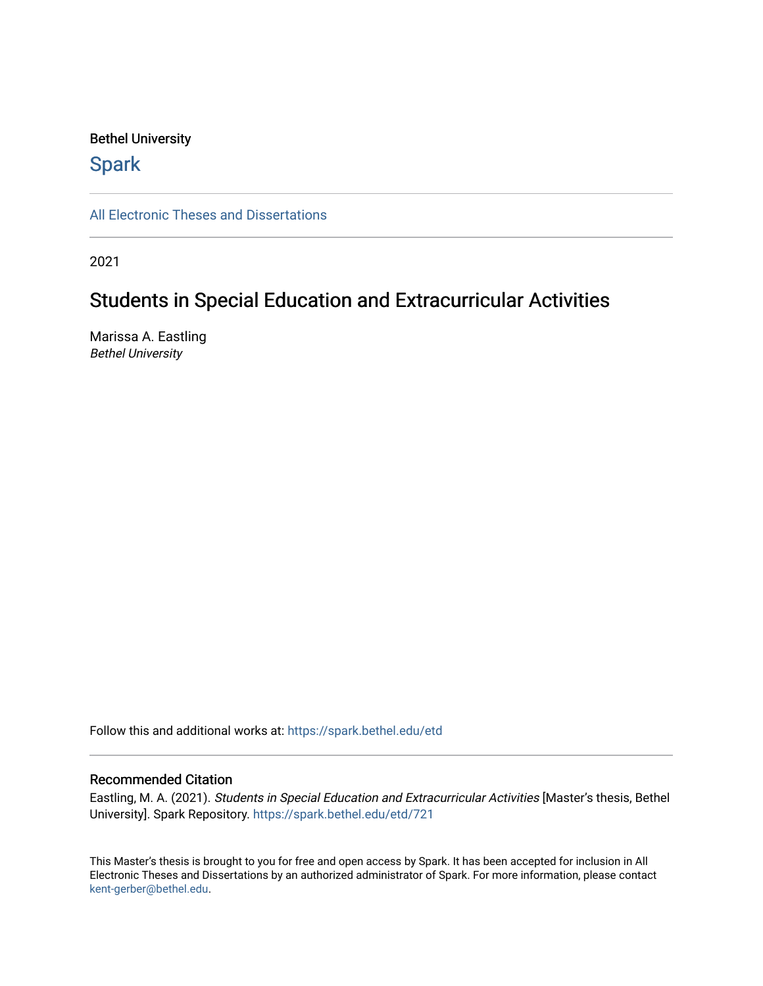# Bethel University

# **Spark**

[All Electronic Theses and Dissertations](https://spark.bethel.edu/etd) 

2021

# Students in Special Education and Extracurricular Activities

Marissa A. Eastling Bethel University

Follow this and additional works at: [https://spark.bethel.edu/etd](https://spark.bethel.edu/etd?utm_source=spark.bethel.edu%2Fetd%2F721&utm_medium=PDF&utm_campaign=PDFCoverPages)

### Recommended Citation

Eastling, M. A. (2021). Students in Special Education and Extracurricular Activities [Master's thesis, Bethel University]. Spark Repository. [https://spark.bethel.edu/etd/721](https://spark.bethel.edu/etd/721?utm_source=spark.bethel.edu%2Fetd%2F721&utm_medium=PDF&utm_campaign=PDFCoverPages) 

This Master's thesis is brought to you for free and open access by Spark. It has been accepted for inclusion in All Electronic Theses and Dissertations by an authorized administrator of Spark. For more information, please contact [kent-gerber@bethel.edu](mailto:kent-gerber@bethel.edu).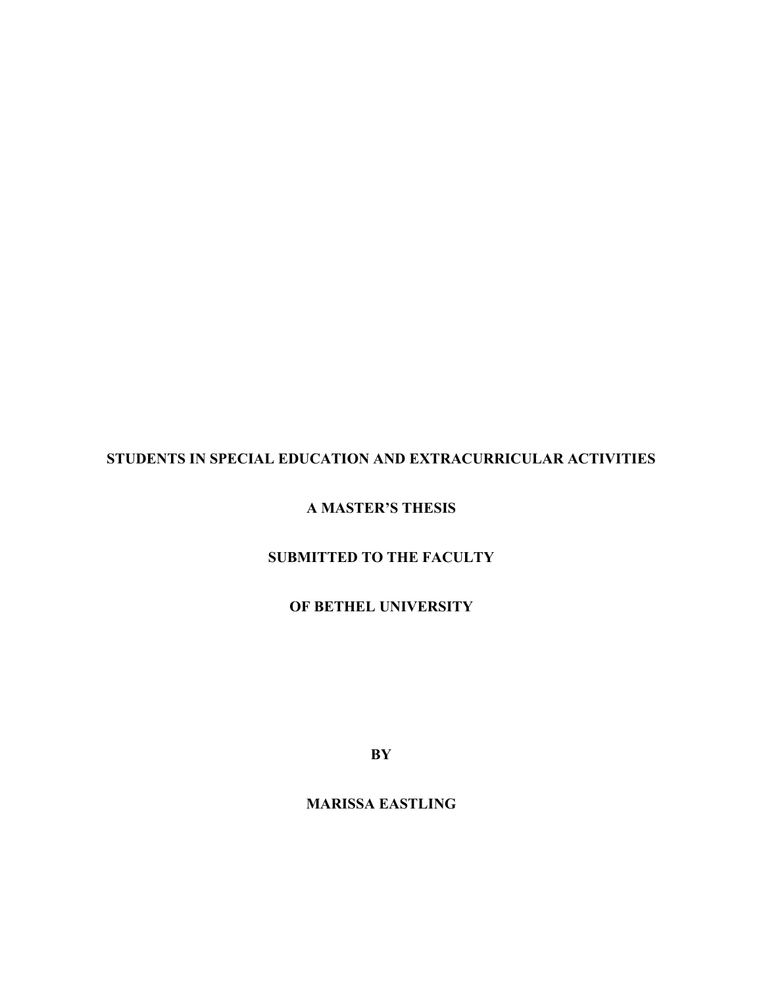# **STUDENTS IN SPECIAL EDUCATION AND EXTRACURRICULAR ACTIVITIES**

# **A MASTER'S THESIS**

# **SUBMITTED TO THE FACULTY**

# **OF BETHEL UNIVERSITY**

**BY**

# **MARISSA EASTLING**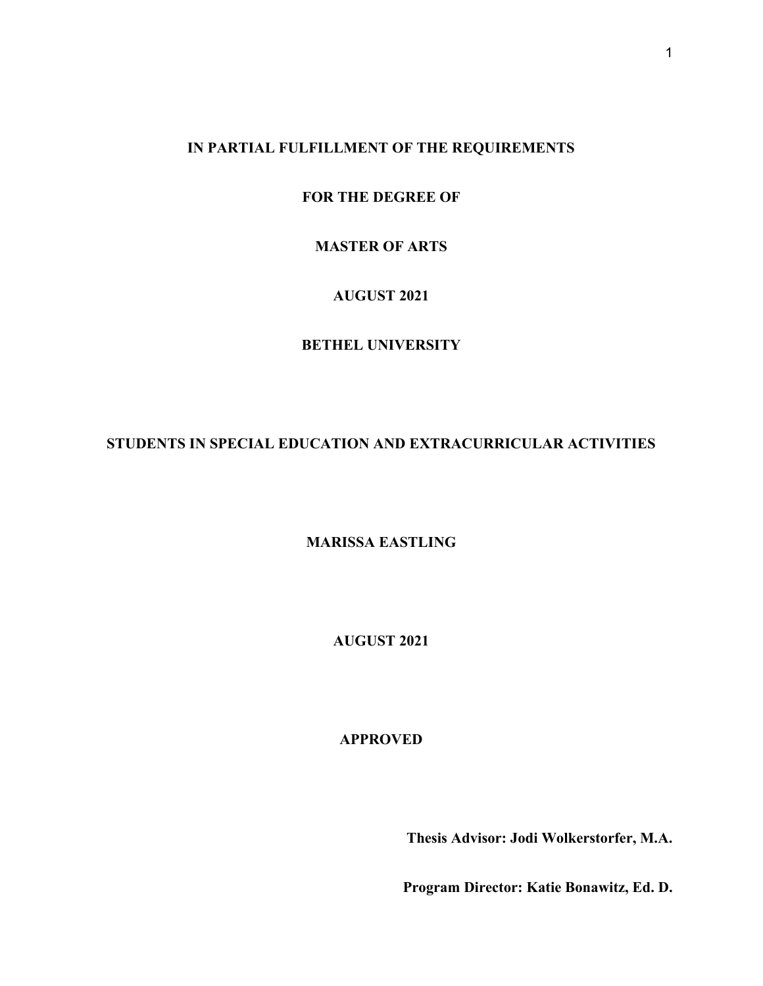# **IN PARTIAL FULFILLMENT OF THE REQUIREMENTS**

**FOR THE DEGREE OF**

# **MASTER OF ARTS**

# **AUGUST 2021**

# **BETHEL UNIVERSITY**

# **STUDENTS IN SPECIAL EDUCATION AND EXTRACURRICULAR ACTIVITIES**

# **MARISSA EASTLING**

**AUGUST 2021**

# **APPROVED**

**Thesis Advisor: Jodi Wolkerstorfer, M.A.**

**Program Director: Katie Bonawitz, Ed. D.**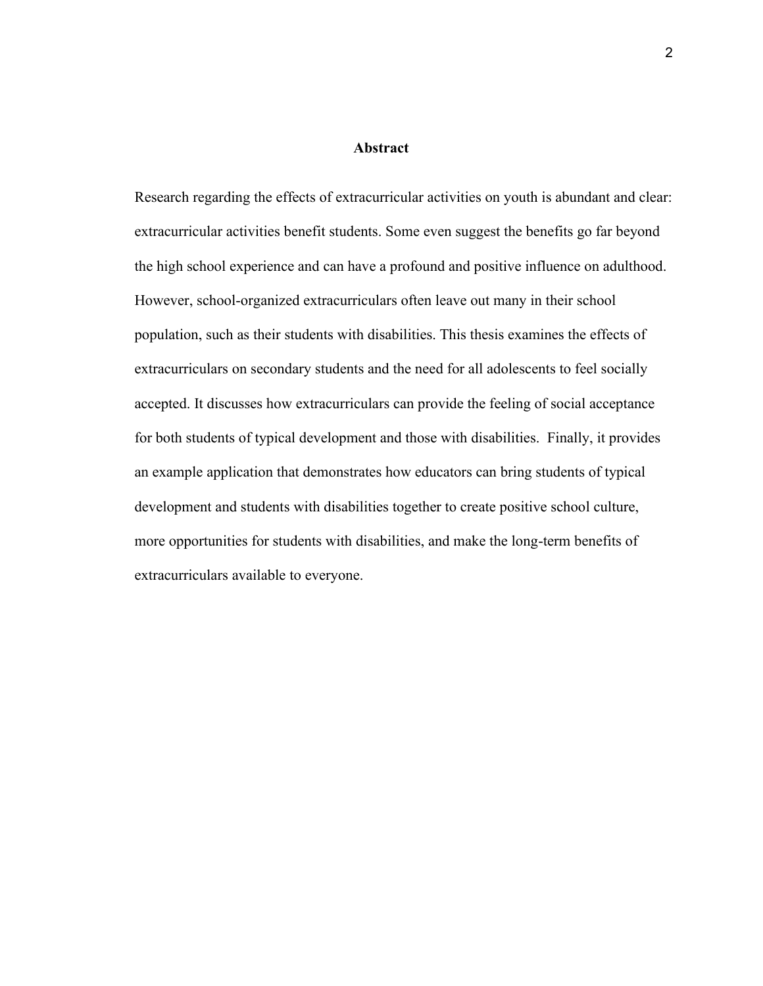#### **Abstract**

Research regarding the effects of extracurricular activities on youth is abundant and clear: extracurricular activities benefit students. Some even suggest the benefits go far beyond the high school experience and can have a profound and positive influence on adulthood. However, school-organized extracurriculars often leave out many in their school population, such as their students with disabilities. This thesis examines the effects of extracurriculars on secondary students and the need for all adolescents to feel socially accepted. It discusses how extracurriculars can provide the feeling of social acceptance for both students of typical development and those with disabilities. Finally, it provides an example application that demonstrates how educators can bring students of typical development and students with disabilities together to create positive school culture, more opportunities for students with disabilities, and make the long-term benefits of extracurriculars available to everyone.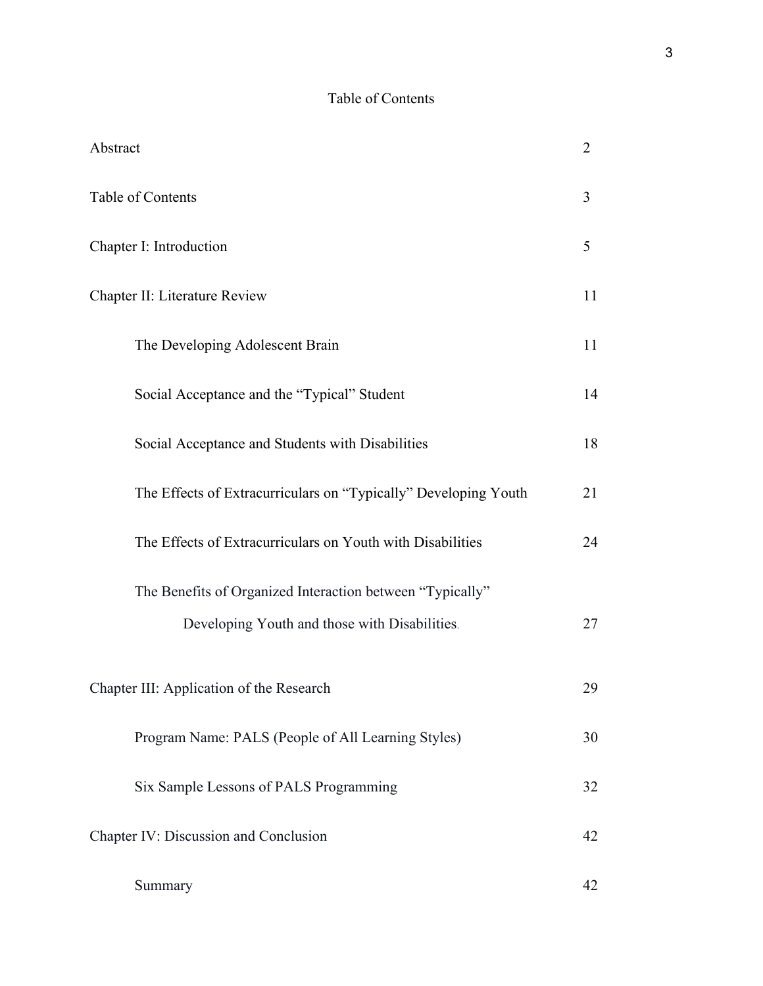# Table of Contents

| Abstract                                                        | $\overline{2}$ |  |
|-----------------------------------------------------------------|----------------|--|
| Table of Contents                                               | $\overline{3}$ |  |
| Chapter I: Introduction                                         |                |  |
| Chapter II: Literature Review                                   |                |  |
| The Developing Adolescent Brain                                 | 11             |  |
| Social Acceptance and the "Typical" Student                     | 14             |  |
| Social Acceptance and Students with Disabilities                | 18             |  |
| The Effects of Extracurriculars on "Typically" Developing Youth | 21             |  |
| The Effects of Extracurriculars on Youth with Disabilities      | 24             |  |
| The Benefits of Organized Interaction between "Typically"       |                |  |
| Developing Youth and those with Disabilities.                   | 27             |  |
| Chapter III: Application of the Research                        |                |  |
| Program Name: PALS (People of All Learning Styles)              | 30             |  |
| Six Sample Lessons of PALS Programming                          | 32             |  |
| Chapter IV: Discussion and Conclusion                           |                |  |
| Summary                                                         | 42             |  |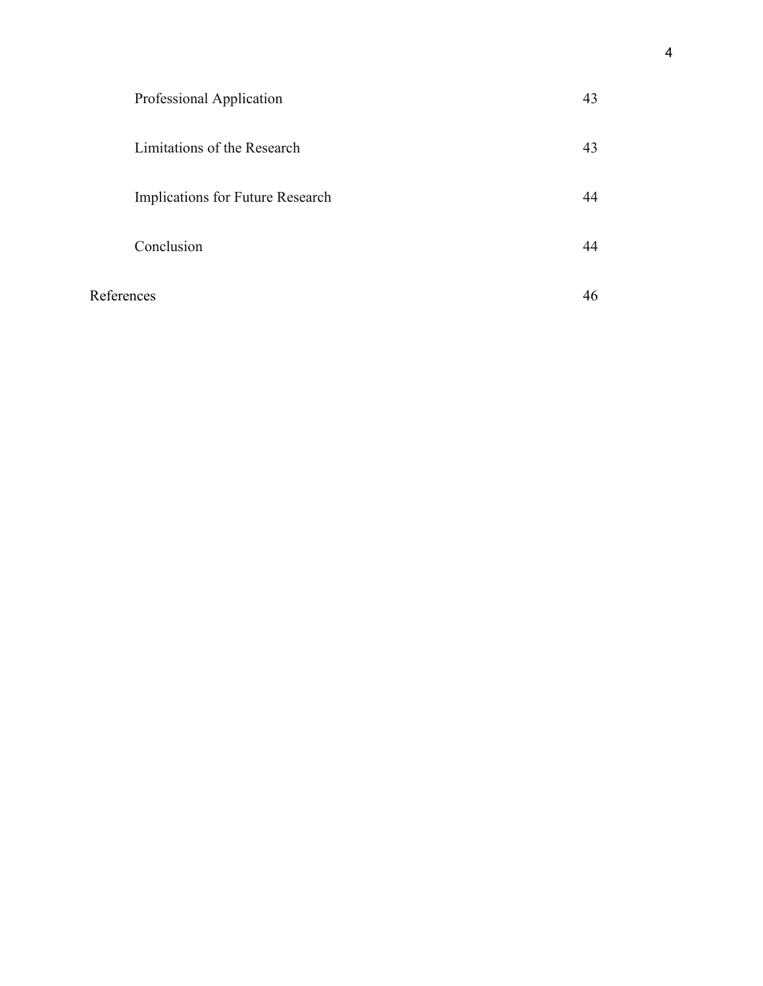|            | Professional Application         | 43 |
|------------|----------------------------------|----|
|            | Limitations of the Research      | 43 |
|            | Implications for Future Research | 44 |
|            | Conclusion                       |    |
| References |                                  | 46 |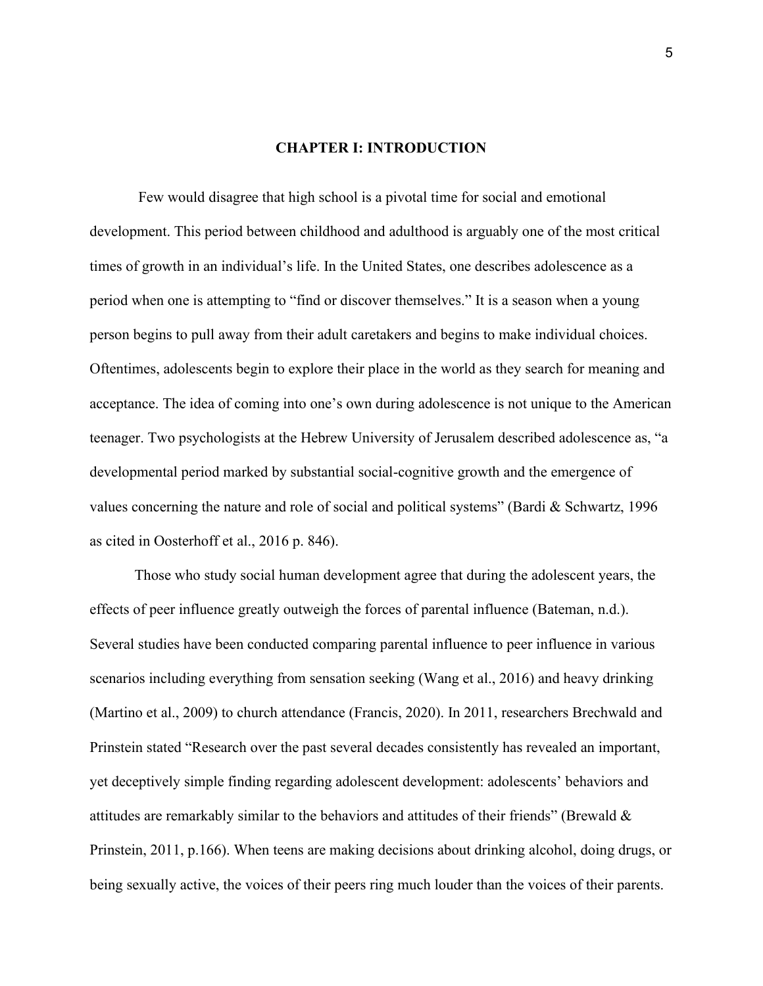## **CHAPTER I: INTRODUCTION**

Few would disagree that high school is a pivotal time for social and emotional development. This period between childhood and adulthood is arguably one of the most critical times of growth in an individual's life. In the United States, one describes adolescence as a period when one is attempting to "find or discover themselves." It is a season when a young person begins to pull away from their adult caretakers and begins to make individual choices. Oftentimes, adolescents begin to explore their place in the world as they search for meaning and acceptance. The idea of coming into one's own during adolescence is not unique to the American teenager. Two psychologists at the Hebrew University of Jerusalem described adolescence as, "a developmental period marked by substantial social-cognitive growth and the emergence of values concerning the nature and role of social and political systems" (Bardi & Schwartz, 1996 as cited in Oosterhoff et al., 2016 p. 846).

Those who study social human development agree that during the adolescent years, the effects of peer influence greatly outweigh the forces of parental influence (Bateman, n.d.). Several studies have been conducted comparing parental influence to peer influence in various scenarios including everything from sensation seeking (Wang et al., 2016) and heavy drinking (Martino et al., 2009) to church attendance (Francis, 2020). In 2011, researchers Brechwald and Prinstein stated "Research over the past several decades consistently has revealed an important, yet deceptively simple finding regarding adolescent development: adolescents' behaviors and attitudes are remarkably similar to the behaviors and attitudes of their friends" (Brewald & Prinstein, 2011, p.166). When teens are making decisions about drinking alcohol, doing drugs, or being sexually active, the voices of their peers ring much louder than the voices of their parents.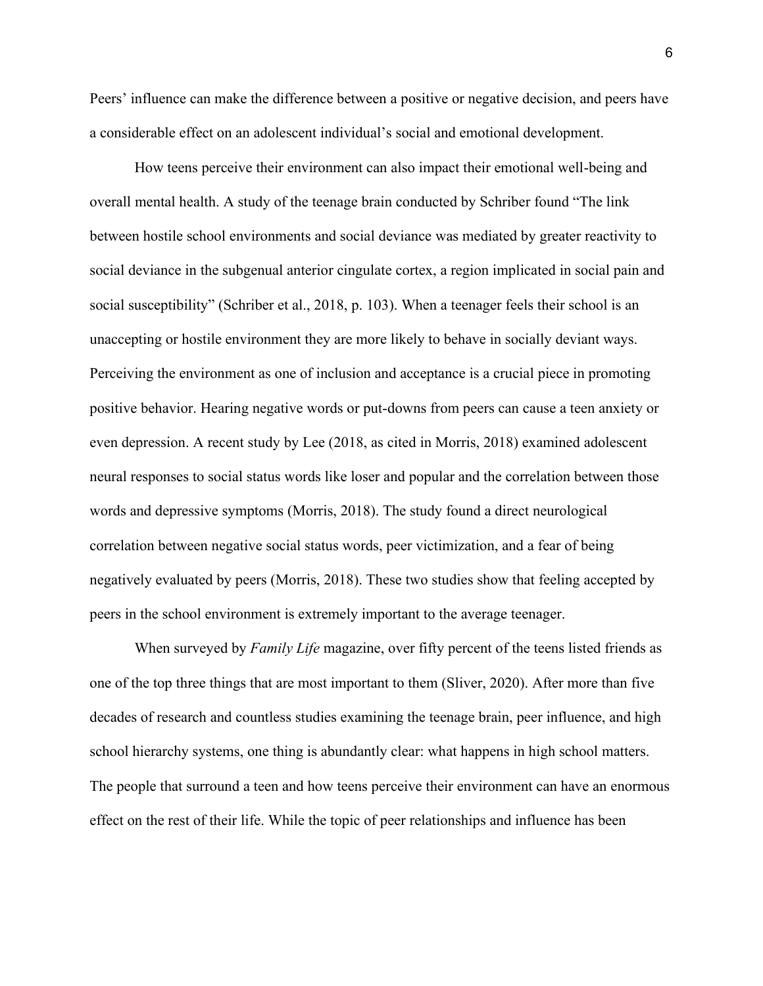Peers' influence can make the difference between a positive or negative decision, and peers have a considerable effect on an adolescent individual's social and emotional development.

How teens perceive their environment can also impact their emotional well-being and overall mental health. A study of the teenage brain conducted by Schriber found "The link between hostile school environments and social deviance was mediated by greater reactivity to social deviance in the subgenual anterior cingulate cortex, a region implicated in social pain and social susceptibility" (Schriber et al., 2018, p. 103). When a teenager feels their school is an unaccepting or hostile environment they are more likely to behave in socially deviant ways. Perceiving the environment as one of inclusion and acceptance is a crucial piece in promoting positive behavior. Hearing negative words or put-downs from peers can cause a teen anxiety or even depression. A recent study by Lee (2018, as cited in Morris, 2018) examined adolescent neural responses to social status words like loser and popular and the correlation between those words and depressive symptoms (Morris, 2018). The study found a direct neurological correlation between negative social status words, peer victimization, and a fear of being negatively evaluated by peers (Morris, 2018). These two studies show that feeling accepted by peers in the school environment is extremely important to the average teenager.

When surveyed by *Family Life* magazine, over fifty percent of the teens listed friends as one of the top three things that are most important to them (Sliver, 2020). After more than five decades of research and countless studies examining the teenage brain, peer influence, and high school hierarchy systems, one thing is abundantly clear: what happens in high school matters. The people that surround a teen and how teens perceive their environment can have an enormous effect on the rest of their life. While the topic of peer relationships and influence has been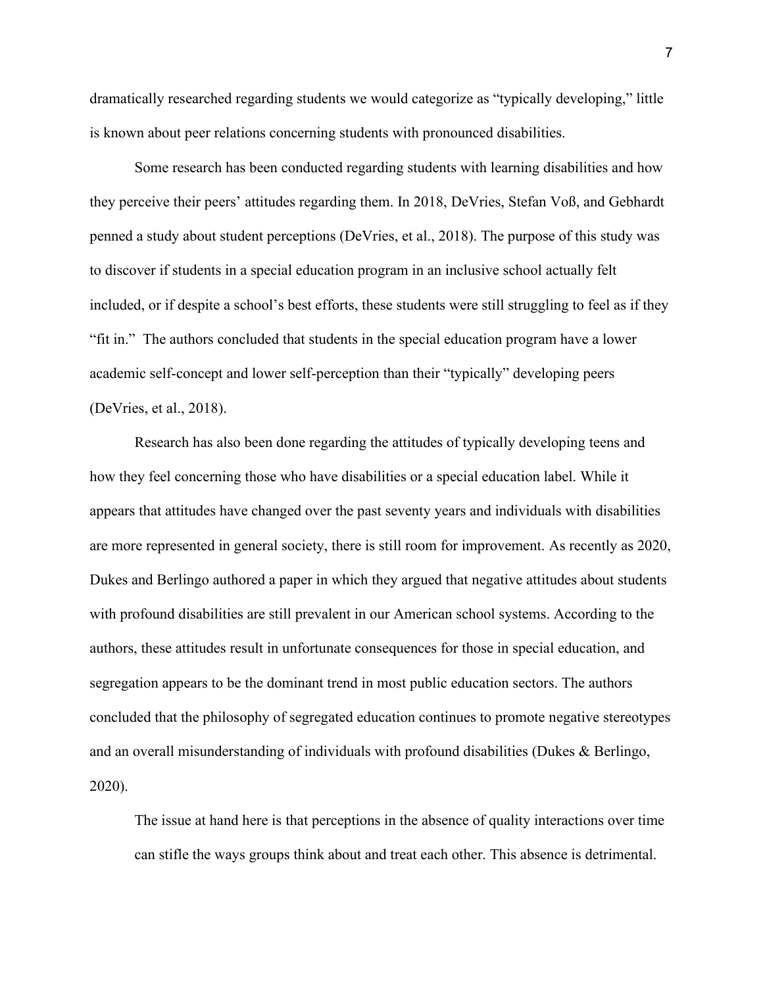dramatically researched regarding students we would categorize as "typically developing," little is known about peer relations concerning students with pronounced disabilities.

Some research has been conducted regarding students with learning disabilities and how they perceive their peers' attitudes regarding them. In 2018, DeVries, Stefan Voß, and Gebhardt penned a study about student perceptions (DeVries, et al., 2018). The purpose of this study was to discover if students in a special education program in an inclusive school actually felt included, or if despite a school's best efforts, these students were still struggling to feel as if they "fit in." The authors concluded that students in the special education program have a lower academic self-concept and lower self-perception than their "typically" developing peers (DeVries, et al., 2018).

Research has also been done regarding the attitudes of typically developing teens and how they feel concerning those who have disabilities or a special education label. While it appears that attitudes have changed over the past seventy years and individuals with disabilities are more represented in general society, there is still room for improvement. As recently as 2020, Dukes and Berlingo authored a paper in which they argued that negative attitudes about students with profound disabilities are still prevalent in our American school systems. According to the authors, these attitudes result in unfortunate consequences for those in special education, and segregation appears to be the dominant trend in most public education sectors. The authors concluded that the philosophy of segregated education continues to promote negative stereotypes and an overall misunderstanding of individuals with profound disabilities (Dukes & Berlingo, 2020).

The issue at hand here is that perceptions in the absence of quality interactions over time can stifle the ways groups think about and treat each other. This absence is detrimental.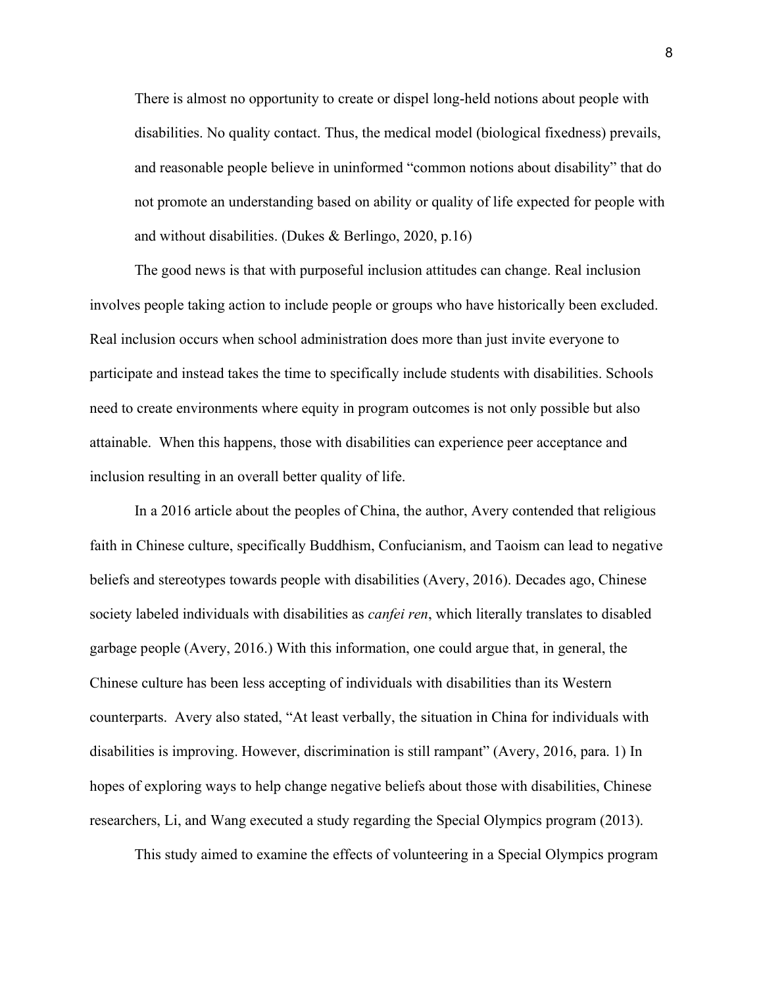There is almost no opportunity to create or dispel long-held notions about people with disabilities. No quality contact. Thus, the medical model (biological fixedness) prevails, and reasonable people believe in uninformed "common notions about disability" that do not promote an understanding based on ability or quality of life expected for people with and without disabilities. (Dukes & Berlingo, 2020, p.16)

The good news is that with purposeful inclusion attitudes can change. Real inclusion involves people taking action to include people or groups who have historically been excluded. Real inclusion occurs when school administration does more than just invite everyone to participate and instead takes the time to specifically include students with disabilities. Schools need to create environments where equity in program outcomes is not only possible but also attainable. When this happens, those with disabilities can experience peer acceptance and inclusion resulting in an overall better quality of life.

In a 2016 article about the peoples of China, the author, Avery contended that religious faith in Chinese culture, specifically Buddhism, Confucianism, and Taoism can lead to negative beliefs and stereotypes towards people with disabilities (Avery, 2016). Decades ago, Chinese society labeled individuals with disabilities as *canfei ren*, which literally translates to disabled garbage people (Avery, 2016.) With this information, one could argue that, in general, the Chinese culture has been less accepting of individuals with disabilities than its Western counterparts. Avery also stated, "At least verbally, the situation in China for individuals with disabilities is improving. However, discrimination is still rampant" (Avery, 2016, para. 1) In hopes of exploring ways to help change negative beliefs about those with disabilities, Chinese researchers, Li, and Wang executed a study regarding the Special Olympics program (2013).

This study aimed to examine the effects of volunteering in a Special Olympics program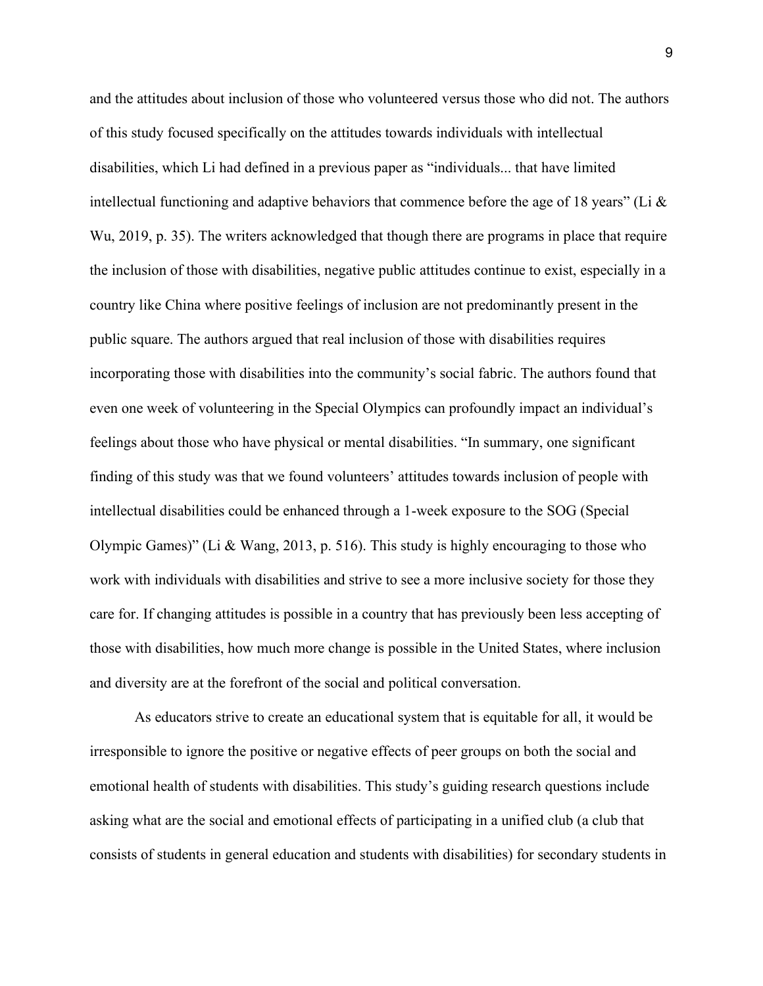and the attitudes about inclusion of those who volunteered versus those who did not. The authors of this study focused specifically on the attitudes towards individuals with intellectual disabilities, which Li had defined in a previous paper as "individuals... that have limited intellectual functioning and adaptive behaviors that commence before the age of 18 years" (Li  $\&$ Wu, 2019, p. 35). The writers acknowledged that though there are programs in place that require the inclusion of those with disabilities, negative public attitudes continue to exist, especially in a country like China where positive feelings of inclusion are not predominantly present in the public square. The authors argued that real inclusion of those with disabilities requires incorporating those with disabilities into the community's social fabric. The authors found that even one week of volunteering in the Special Olympics can profoundly impact an individual's feelings about those who have physical or mental disabilities. "In summary, one significant finding of this study was that we found volunteers' attitudes towards inclusion of people with intellectual disabilities could be enhanced through a 1-week exposure to the SOG (Special Olympic Games)" (Li & Wang, 2013, p. 516). This study is highly encouraging to those who work with individuals with disabilities and strive to see a more inclusive society for those they care for. If changing attitudes is possible in a country that has previously been less accepting of those with disabilities, how much more change is possible in the United States, where inclusion and diversity are at the forefront of the social and political conversation.

As educators strive to create an educational system that is equitable for all, it would be irresponsible to ignore the positive or negative effects of peer groups on both the social and emotional health of students with disabilities. This study's guiding research questions include asking what are the social and emotional effects of participating in a unified club (a club that consists of students in general education and students with disabilities) for secondary students in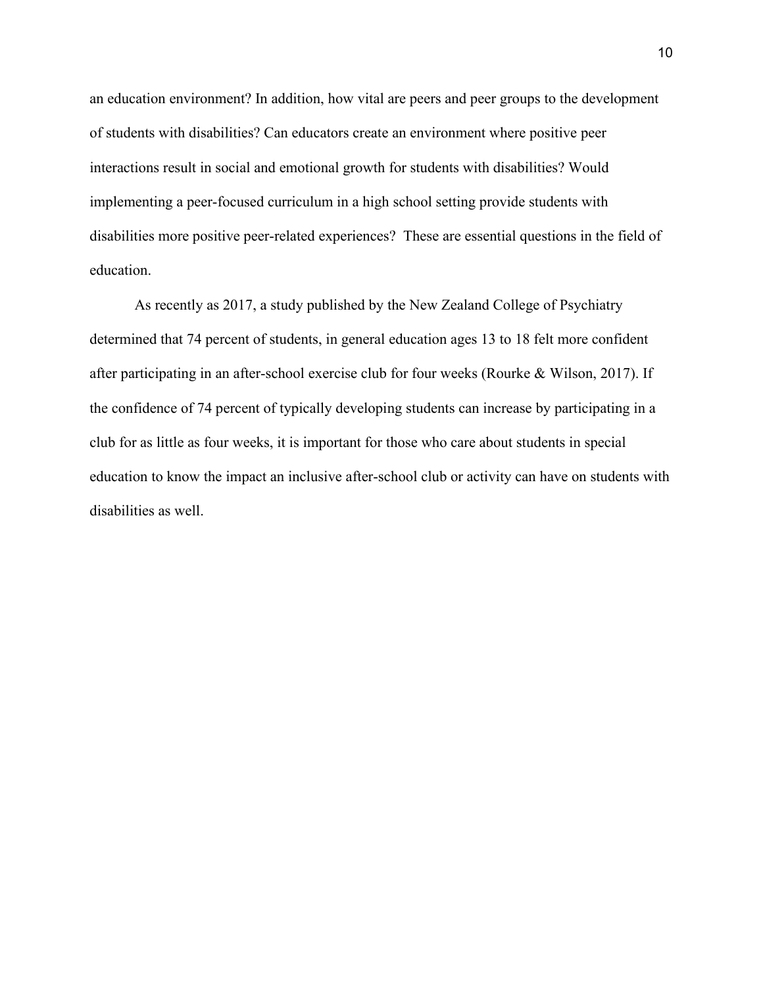an education environment? In addition, how vital are peers and peer groups to the development of students with disabilities? Can educators create an environment where positive peer interactions result in social and emotional growth for students with disabilities? Would implementing a peer-focused curriculum in a high school setting provide students with disabilities more positive peer-related experiences? These are essential questions in the field of education.

As recently as 2017, a study published by the New Zealand College of Psychiatry determined that 74 percent of students, in general education ages 13 to 18 felt more confident after participating in an after-school exercise club for four weeks (Rourke & Wilson, 2017). If the confidence of 74 percent of typically developing students can increase by participating in a club for as little as four weeks, it is important for those who care about students in special education to know the impact an inclusive after-school club or activity can have on students with disabilities as well.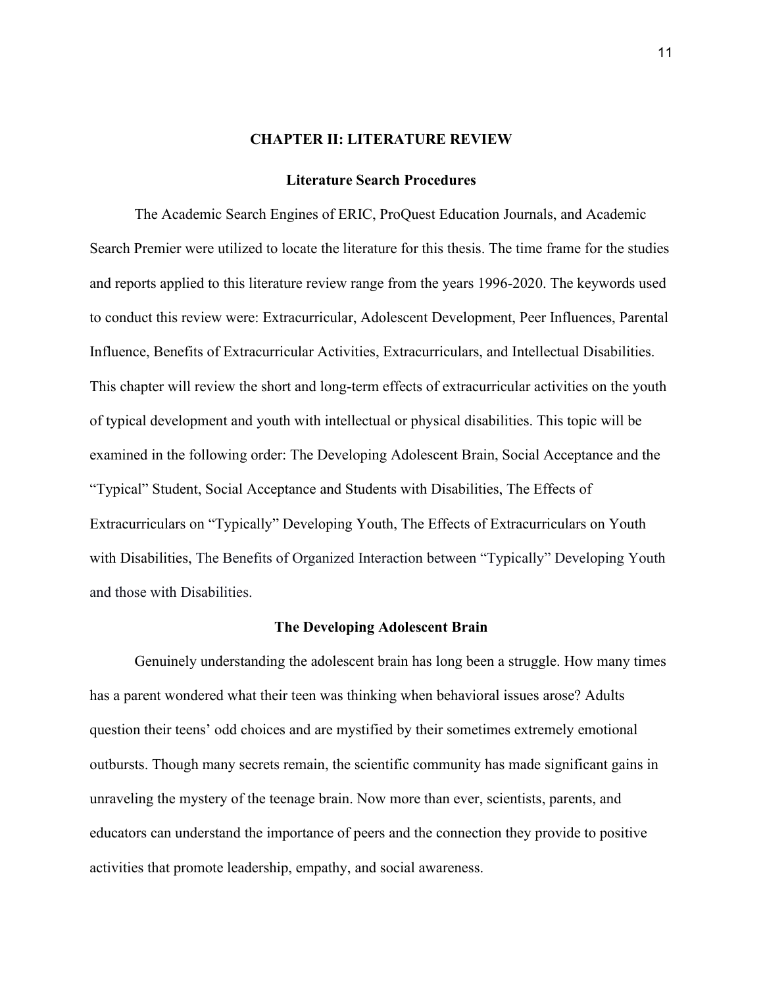### **CHAPTER II: LITERATURE REVIEW**

### **Literature Search Procedures**

The Academic Search Engines of ERIC, ProQuest Education Journals, and Academic Search Premier were utilized to locate the literature for this thesis. The time frame for the studies and reports applied to this literature review range from the years 1996-2020. The keywords used to conduct this review were: Extracurricular, Adolescent Development, Peer Influences, Parental Influence, Benefits of Extracurricular Activities, Extracurriculars, and Intellectual Disabilities. This chapter will review the short and long-term effects of extracurricular activities on the youth of typical development and youth with intellectual or physical disabilities. This topic will be examined in the following order: The Developing Adolescent Brain, Social Acceptance and the "Typical" Student, Social Acceptance and Students with Disabilities, The Effects of Extracurriculars on "Typically" Developing Youth, The Effects of Extracurriculars on Youth with Disabilities, The Benefits of Organized Interaction between "Typically" Developing Youth and those with Disabilities.

#### **The Developing Adolescent Brain**

Genuinely understanding the adolescent brain has long been a struggle. How many times has a parent wondered what their teen was thinking when behavioral issues arose? Adults question their teens' odd choices and are mystified by their sometimes extremely emotional outbursts. Though many secrets remain, the scientific community has made significant gains in unraveling the mystery of the teenage brain. Now more than ever, scientists, parents, and educators can understand the importance of peers and the connection they provide to positive activities that promote leadership, empathy, and social awareness.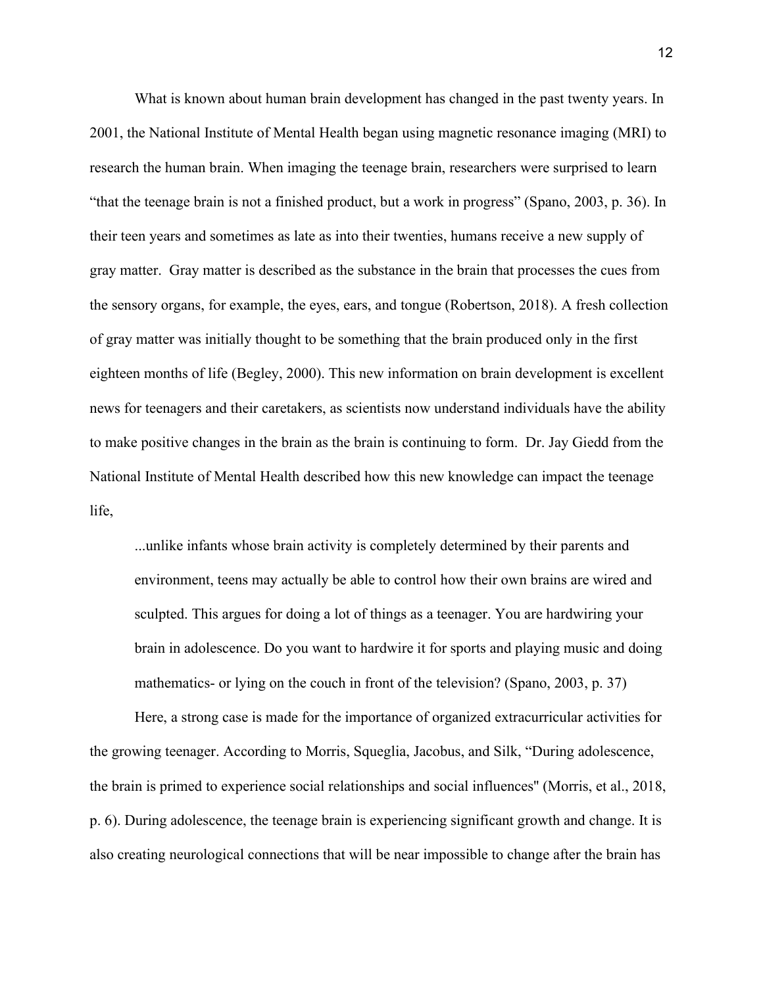What is known about human brain development has changed in the past twenty years. In 2001, the National Institute of Mental Health began using magnetic resonance imaging (MRI) to research the human brain. When imaging the teenage brain, researchers were surprised to learn "that the teenage brain is not a finished product, but a work in progress" (Spano, 2003, p. 36). In their teen years and sometimes as late as into their twenties, humans receive a new supply of gray matter. Gray matter is described as the substance in the brain that processes the cues from the sensory organs, for example, the eyes, ears, and tongue (Robertson, 2018). A fresh collection of gray matter was initially thought to be something that the brain produced only in the first eighteen months of life (Begley, 2000). This new information on brain development is excellent news for teenagers and their caretakers, as scientists now understand individuals have the ability to make positive changes in the brain as the brain is continuing to form. Dr. Jay Giedd from the National Institute of Mental Health described how this new knowledge can impact the teenage life,

...unlike infants whose brain activity is completely determined by their parents and environment, teens may actually be able to control how their own brains are wired and sculpted. This argues for doing a lot of things as a teenager. You are hardwiring your brain in adolescence. Do you want to hardwire it for sports and playing music and doing mathematics- or lying on the couch in front of the television? (Spano, 2003, p. 37)

Here, a strong case is made for the importance of organized extracurricular activities for the growing teenager. According to Morris, Squeglia, Jacobus, and Silk, "During adolescence, the brain is primed to experience social relationships and social influences'' (Morris, et al., 2018, p. 6). During adolescence, the teenage brain is experiencing significant growth and change. It is also creating neurological connections that will be near impossible to change after the brain has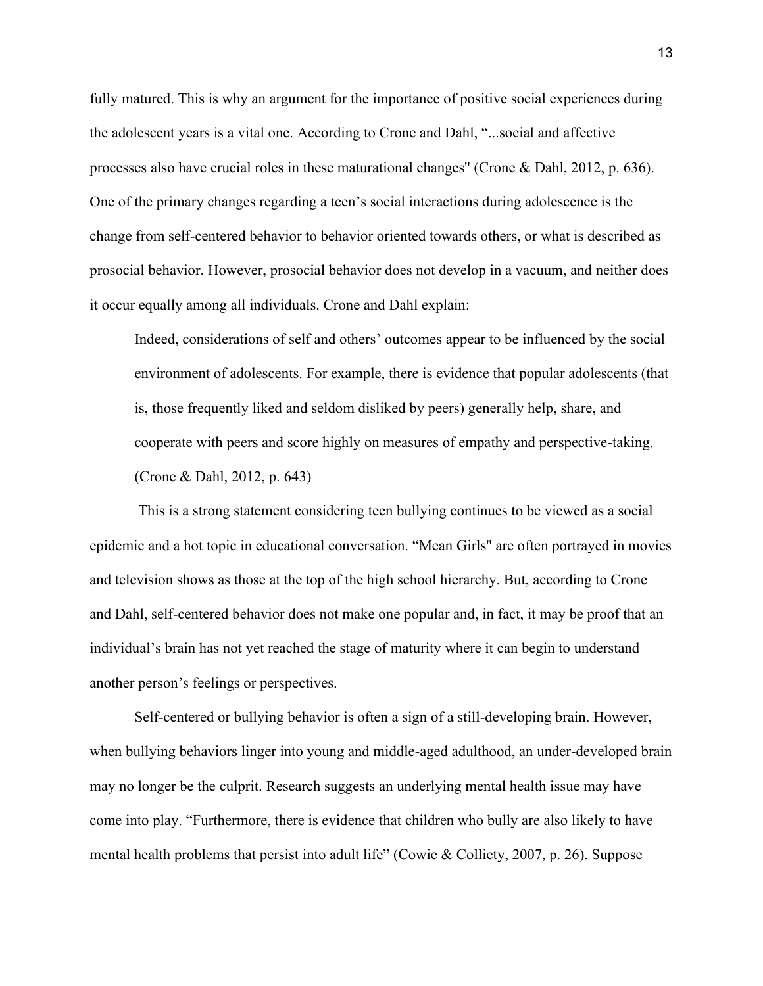fully matured. This is why an argument for the importance of positive social experiences during the adolescent years is a vital one. According to Crone and Dahl, "...social and affective processes also have crucial roles in these maturational changes'' (Crone & Dahl, 2012, p. 636). One of the primary changes regarding a teen's social interactions during adolescence is the change from self-centered behavior to behavior oriented towards others, or what is described as prosocial behavior. However, prosocial behavior does not develop in a vacuum, and neither does it occur equally among all individuals. Crone and Dahl explain:

Indeed, considerations of self and others' outcomes appear to be influenced by the social environment of adolescents. For example, there is evidence that popular adolescents (that is, those frequently liked and seldom disliked by peers) generally help, share, and cooperate with peers and score highly on measures of empathy and perspective-taking. (Crone & Dahl, 2012, p. 643)

This is a strong statement considering teen bullying continues to be viewed as a social epidemic and a hot topic in educational conversation. "Mean Girls'' are often portrayed in movies and television shows as those at the top of the high school hierarchy. But, according to Crone and Dahl, self-centered behavior does not make one popular and, in fact, it may be proof that an individual's brain has not yet reached the stage of maturity where it can begin to understand another person's feelings or perspectives.

Self-centered or bullying behavior is often a sign of a still-developing brain. However, when bullying behaviors linger into young and middle-aged adulthood, an under-developed brain may no longer be the culprit. Research suggests an underlying mental health issue may have come into play. "Furthermore, there is evidence that children who bully are also likely to have mental health problems that persist into adult life" (Cowie & Colliety, 2007, p. 26). Suppose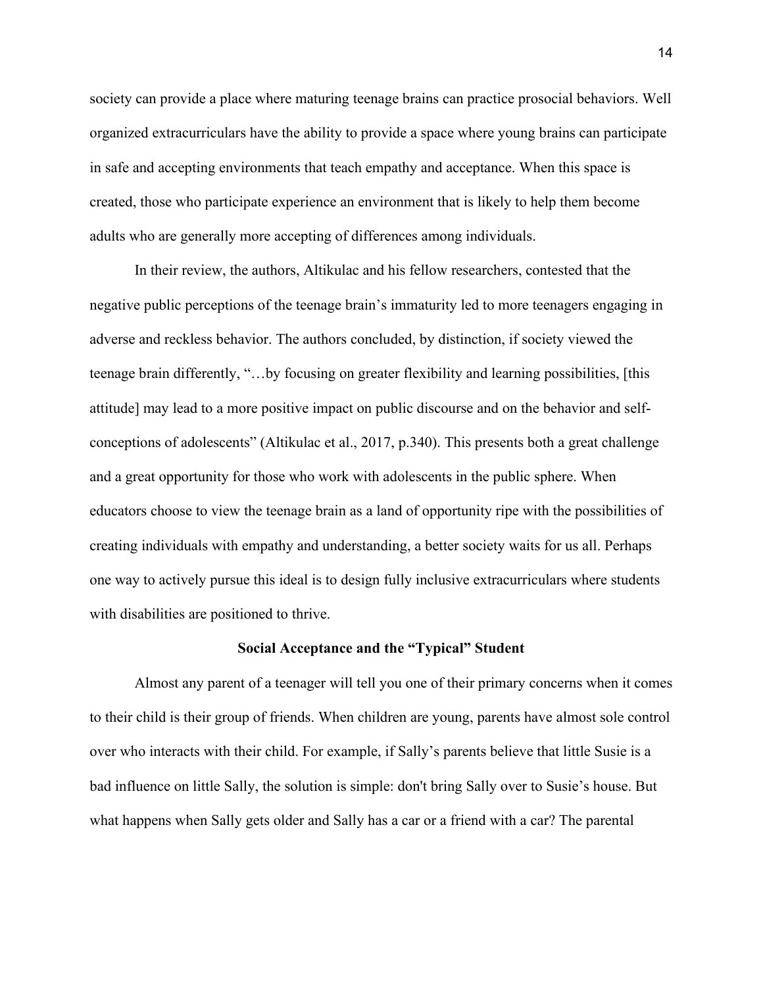society can provide a place where maturing teenage brains can practice prosocial behaviors. Well organized extracurriculars have the ability to provide a space where young brains can participate in safe and accepting environments that teach empathy and acceptance. When this space is created, those who participate experience an environment that is likely to help them become adults who are generally more accepting of differences among individuals.

In their review, the authors, Altikulac and his fellow researchers, contested that the negative public perceptions of the teenage brain's immaturity led to more teenagers engaging in adverse and reckless behavior. The authors concluded, by distinction, if society viewed the teenage brain differently, "…by focusing on greater flexibility and learning possibilities, [this attitude] may lead to a more positive impact on public discourse and on the behavior and selfconceptions of adolescents" (Altikulac et al., 2017, p.340). This presents both a great challenge and a great opportunity for those who work with adolescents in the public sphere. When educators choose to view the teenage brain as a land of opportunity ripe with the possibilities of creating individuals with empathy and understanding, a better society waits for us all. Perhaps one way to actively pursue this ideal is to design fully inclusive extracurriculars where students with disabilities are positioned to thrive.

### **Social Acceptance and the "Typical" Student**

Almost any parent of a teenager will tell you one of their primary concerns when it comes to their child is their group of friends. When children are young, parents have almost sole control over who interacts with their child. For example, if Sally's parents believe that little Susie is a bad influence on little Sally, the solution is simple: don't bring Sally over to Susie's house. But what happens when Sally gets older and Sally has a car or a friend with a car? The parental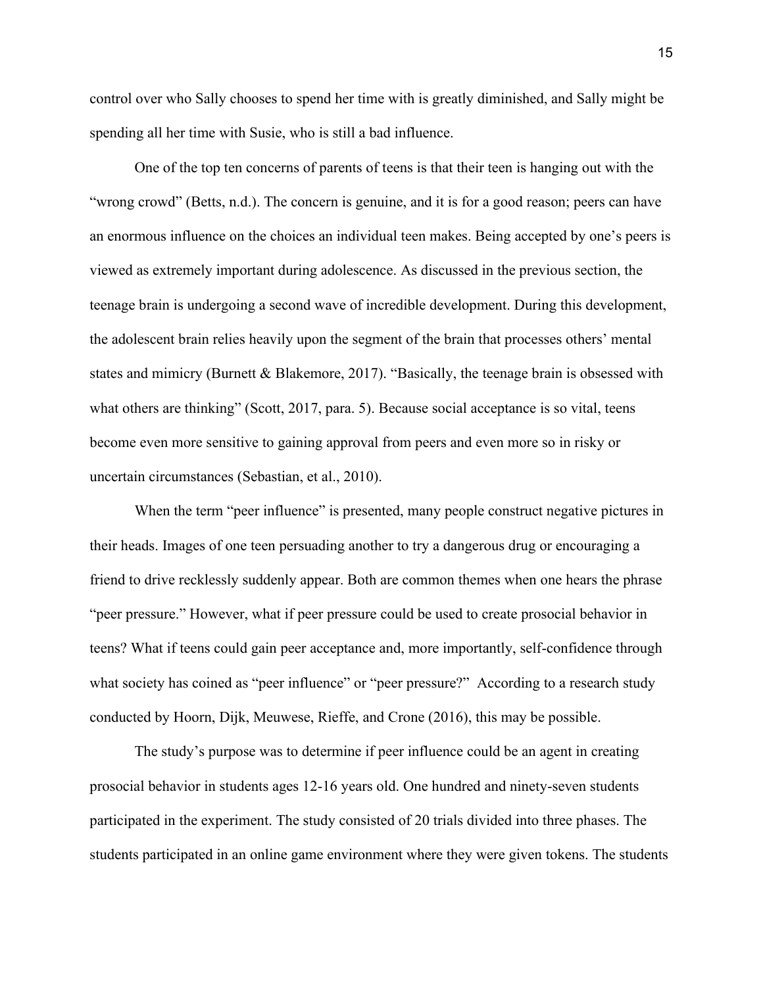control over who Sally chooses to spend her time with is greatly diminished, and Sally might be spending all her time with Susie, who is still a bad influence.

One of the top ten concerns of parents of teens is that their teen is hanging out with the "wrong crowd" (Betts, n.d.). The concern is genuine, and it is for a good reason; peers can have an enormous influence on the choices an individual teen makes. Being accepted by one's peers is viewed as extremely important during adolescence. As discussed in the previous section, the teenage brain is undergoing a second wave of incredible development. During this development, the adolescent brain relies heavily upon the segment of the brain that processes others' mental states and mimicry (Burnett & Blakemore, 2017). "Basically, the teenage brain is obsessed with what others are thinking" (Scott, 2017, para. 5). Because social acceptance is so vital, teens become even more sensitive to gaining approval from peers and even more so in risky or uncertain circumstances (Sebastian, et al., 2010).

When the term "peer influence" is presented, many people construct negative pictures in their heads. Images of one teen persuading another to try a dangerous drug or encouraging a friend to drive recklessly suddenly appear. Both are common themes when one hears the phrase "peer pressure." However, what if peer pressure could be used to create prosocial behavior in teens? What if teens could gain peer acceptance and, more importantly, self-confidence through what society has coined as "peer influence" or "peer pressure?" According to a research study conducted by Hoorn, Dijk, Meuwese, Rieffe, and Crone (2016), this may be possible.

The study's purpose was to determine if peer influence could be an agent in creating prosocial behavior in students ages 12-16 years old. One hundred and ninety-seven students participated in the experiment. The study consisted of 20 trials divided into three phases. The students participated in an online game environment where they were given tokens. The students

15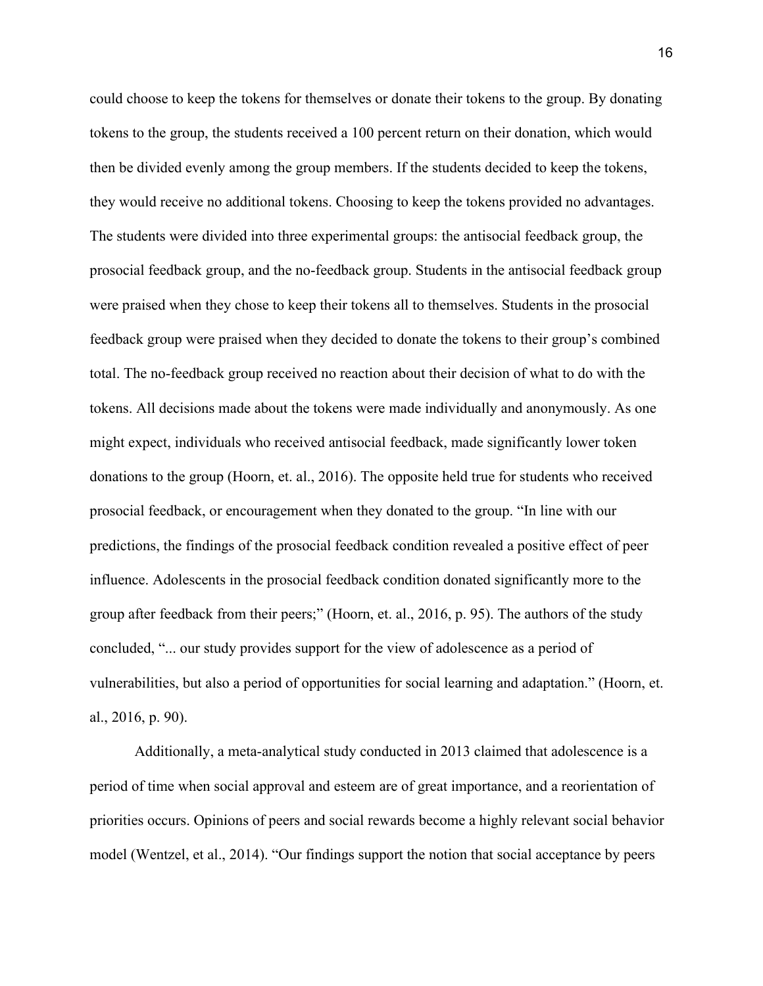could choose to keep the tokens for themselves or donate their tokens to the group. By donating tokens to the group, the students received a 100 percent return on their donation, which would then be divided evenly among the group members. If the students decided to keep the tokens, they would receive no additional tokens. Choosing to keep the tokens provided no advantages. The students were divided into three experimental groups: the antisocial feedback group, the prosocial feedback group, and the no-feedback group. Students in the antisocial feedback group were praised when they chose to keep their tokens all to themselves. Students in the prosocial feedback group were praised when they decided to donate the tokens to their group's combined total. The no-feedback group received no reaction about their decision of what to do with the tokens. All decisions made about the tokens were made individually and anonymously. As one might expect, individuals who received antisocial feedback, made significantly lower token donations to the group (Hoorn, et. al., 2016). The opposite held true for students who received prosocial feedback, or encouragement when they donated to the group. "In line with our predictions, the findings of the prosocial feedback condition revealed a positive effect of peer influence. Adolescents in the prosocial feedback condition donated significantly more to the group after feedback from their peers;" (Hoorn, et. al., 2016, p. 95). The authors of the study concluded, "... our study provides support for the view of adolescence as a period of vulnerabilities, but also a period of opportunities for social learning and adaptation." (Hoorn, et. al., 2016, p. 90).

Additionally, a meta-analytical study conducted in 2013 claimed that adolescence is a period of time when social approval and esteem are of great importance, and a reorientation of priorities occurs. Opinions of peers and social rewards become a highly relevant social behavior model (Wentzel, et al., 2014). "Our findings support the notion that social acceptance by peers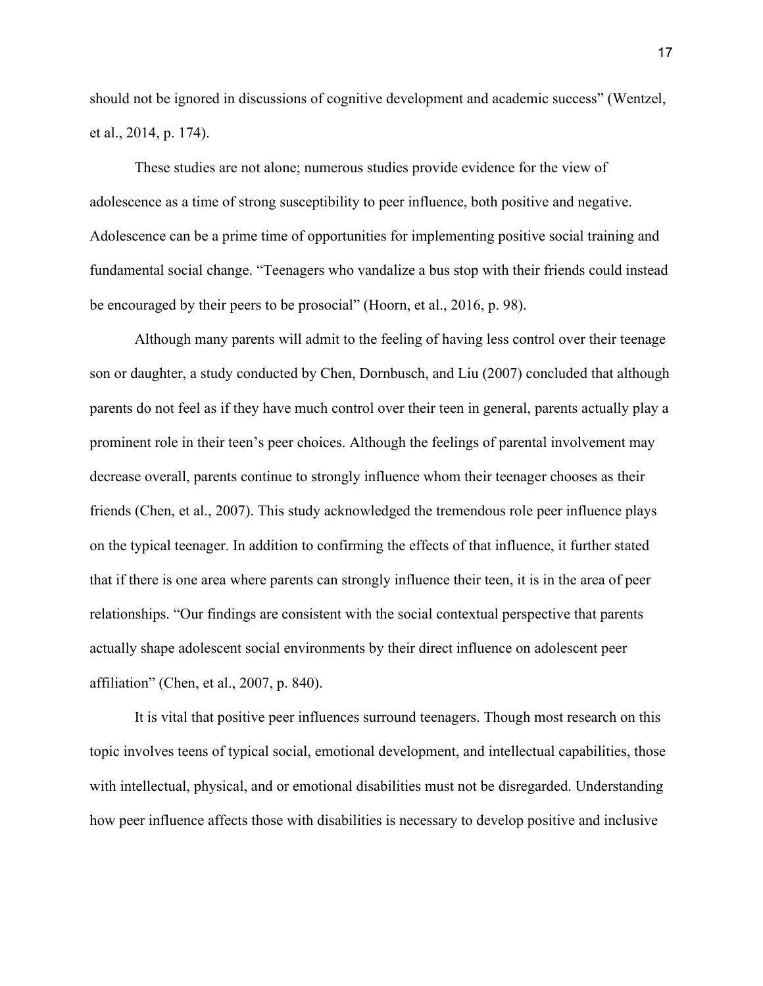should not be ignored in discussions of cognitive development and academic success" (Wentzel, et al., 2014, p. 174).

These studies are not alone; numerous studies provide evidence for the view of adolescence as a time of strong susceptibility to peer influence, both positive and negative. Adolescence can be a prime time of opportunities for implementing positive social training and fundamental social change. "Teenagers who vandalize a bus stop with their friends could instead be encouraged by their peers to be prosocial" (Hoorn, et al., 2016, p. 98).

Although many parents will admit to the feeling of having less control over their teenage son or daughter, a study conducted by Chen, Dornbusch, and Liu (2007) concluded that although parents do not feel as if they have much control over their teen in general, parents actually play a prominent role in their teen's peer choices. Although the feelings of parental involvement may decrease overall, parents continue to strongly influence whom their teenager chooses as their friends (Chen, et al., 2007). This study acknowledged the tremendous role peer influence plays on the typical teenager. In addition to confirming the effects of that influence, it further stated that if there is one area where parents can strongly influence their teen, it is in the area of peer relationships. "Our findings are consistent with the social contextual perspective that parents actually shape adolescent social environments by their direct influence on adolescent peer affiliation" (Chen, et al., 2007, p. 840).

It is vital that positive peer influences surround teenagers. Though most research on this topic involves teens of typical social, emotional development, and intellectual capabilities, those with intellectual, physical, and or emotional disabilities must not be disregarded. Understanding how peer influence affects those with disabilities is necessary to develop positive and inclusive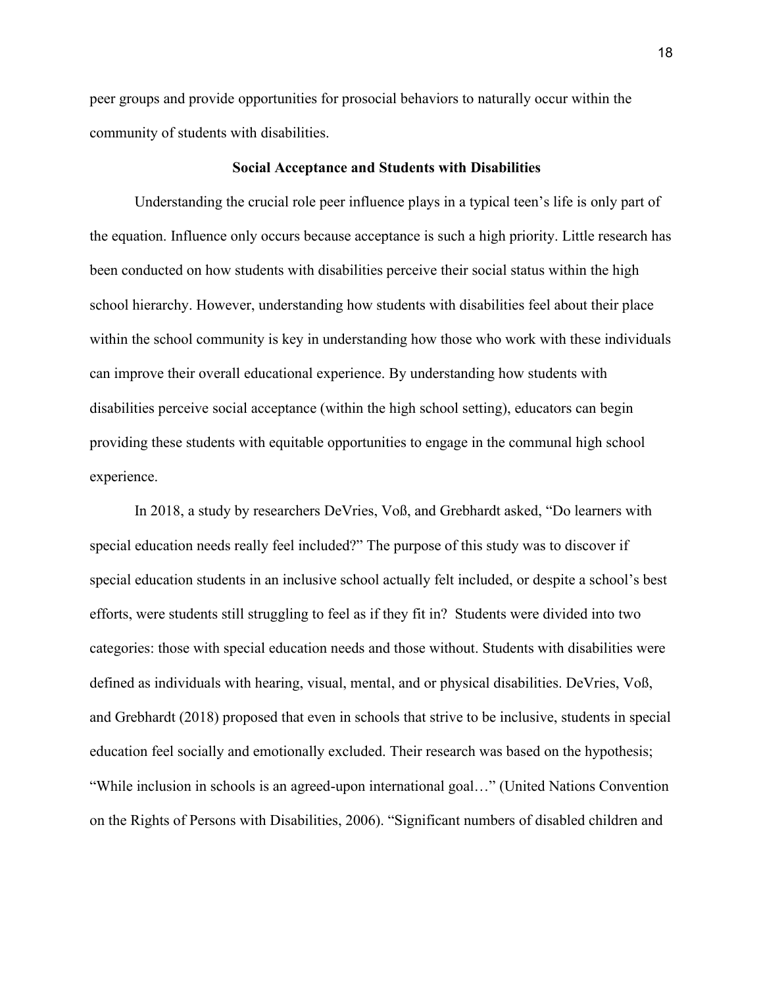peer groups and provide opportunities for prosocial behaviors to naturally occur within the community of students with disabilities.

#### **Social Acceptance and Students with Disabilities**

Understanding the crucial role peer influence plays in a typical teen's life is only part of the equation. Influence only occurs because acceptance is such a high priority. Little research has been conducted on how students with disabilities perceive their social status within the high school hierarchy. However, understanding how students with disabilities feel about their place within the school community is key in understanding how those who work with these individuals can improve their overall educational experience. By understanding how students with disabilities perceive social acceptance (within the high school setting), educators can begin providing these students with equitable opportunities to engage in the communal high school experience.

In 2018, a study by researchers DeVries, Voß, and Grebhardt asked, "Do learners with special education needs really feel included?" The purpose of this study was to discover if special education students in an inclusive school actually felt included, or despite a school's best efforts, were students still struggling to feel as if they fit in? Students were divided into two categories: those with special education needs and those without. Students with disabilities were defined as individuals with hearing, visual, mental, and or physical disabilities. DeVries, Voß, and Grebhardt (2018) proposed that even in schools that strive to be inclusive, students in special education feel socially and emotionally excluded. Their research was based on the hypothesis; "While inclusion in schools is an agreed-upon international goal…" (United Nations Convention on the Rights of Persons with Disabilities, 2006). "Significant numbers of disabled children and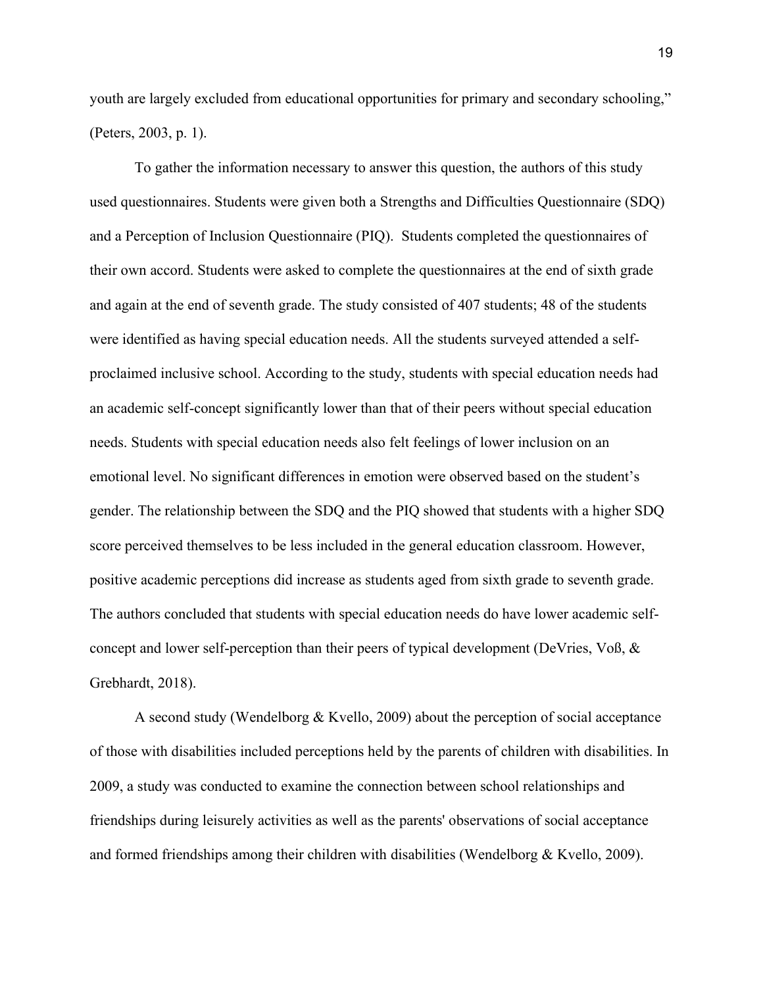youth are largely excluded from educational opportunities for primary and secondary schooling," (Peters, 2003, p. 1).

To gather the information necessary to answer this question, the authors of this study used questionnaires. Students were given both a Strengths and Difficulties Questionnaire (SDQ) and a Perception of Inclusion Questionnaire (PIQ). Students completed the questionnaires of their own accord. Students were asked to complete the questionnaires at the end of sixth grade and again at the end of seventh grade. The study consisted of 407 students; 48 of the students were identified as having special education needs. All the students surveyed attended a selfproclaimed inclusive school. According to the study, students with special education needs had an academic self-concept significantly lower than that of their peers without special education needs. Students with special education needs also felt feelings of lower inclusion on an emotional level. No significant differences in emotion were observed based on the student's gender. The relationship between the SDQ and the PIQ showed that students with a higher SDQ score perceived themselves to be less included in the general education classroom. However, positive academic perceptions did increase as students aged from sixth grade to seventh grade. The authors concluded that students with special education needs do have lower academic selfconcept and lower self-perception than their peers of typical development (DeVries, Voß, & Grebhardt, 2018).

A second study (Wendelborg & Kvello, 2009) about the perception of social acceptance of those with disabilities included perceptions held by the parents of children with disabilities. In 2009, a study was conducted to examine the connection between school relationships and friendships during leisurely activities as well as the parents' observations of social acceptance and formed friendships among their children with disabilities (Wendelborg & Kvello, 2009).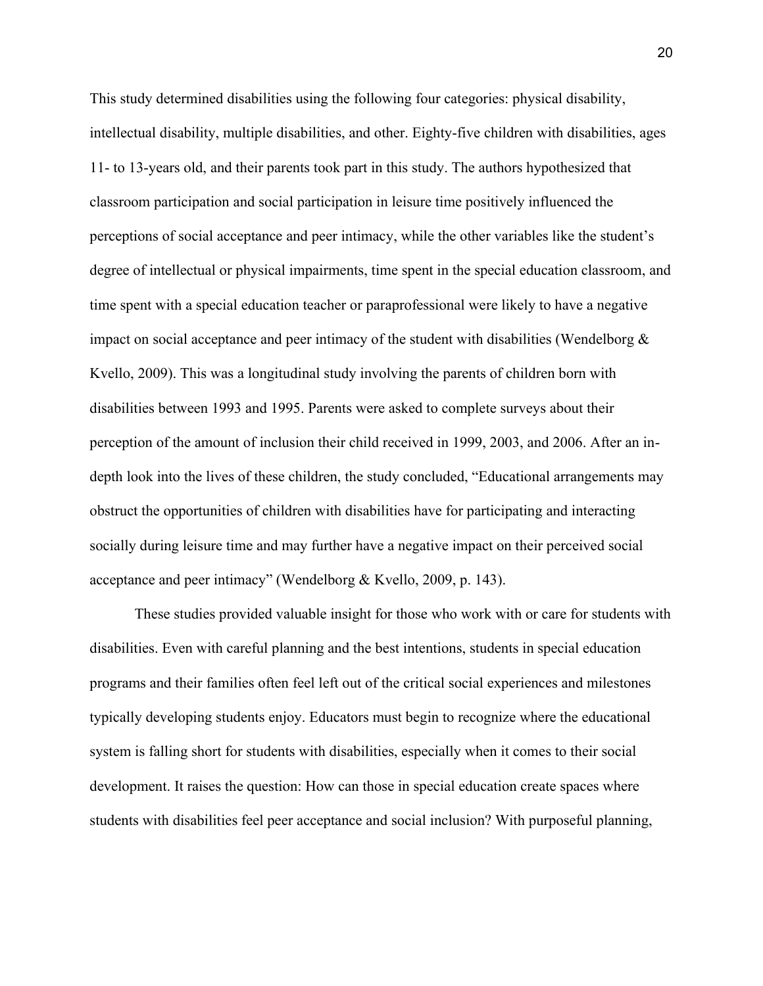This study determined disabilities using the following four categories: physical disability, intellectual disability, multiple disabilities, and other. Eighty-five children with disabilities, ages 11- to 13-years old, and their parents took part in this study. The authors hypothesized that classroom participation and social participation in leisure time positively influenced the perceptions of social acceptance and peer intimacy, while the other variables like the student's degree of intellectual or physical impairments, time spent in the special education classroom, and time spent with a special education teacher or paraprofessional were likely to have a negative impact on social acceptance and peer intimacy of the student with disabilities (Wendelborg  $\&$ Kvello, 2009). This was a longitudinal study involving the parents of children born with disabilities between 1993 and 1995. Parents were asked to complete surveys about their perception of the amount of inclusion their child received in 1999, 2003, and 2006. After an indepth look into the lives of these children, the study concluded, "Educational arrangements may obstruct the opportunities of children with disabilities have for participating and interacting socially during leisure time and may further have a negative impact on their perceived social acceptance and peer intimacy" (Wendelborg & Kvello, 2009, p. 143).

These studies provided valuable insight for those who work with or care for students with disabilities. Even with careful planning and the best intentions, students in special education programs and their families often feel left out of the critical social experiences and milestones typically developing students enjoy. Educators must begin to recognize where the educational system is falling short for students with disabilities, especially when it comes to their social development. It raises the question: How can those in special education create spaces where students with disabilities feel peer acceptance and social inclusion? With purposeful planning,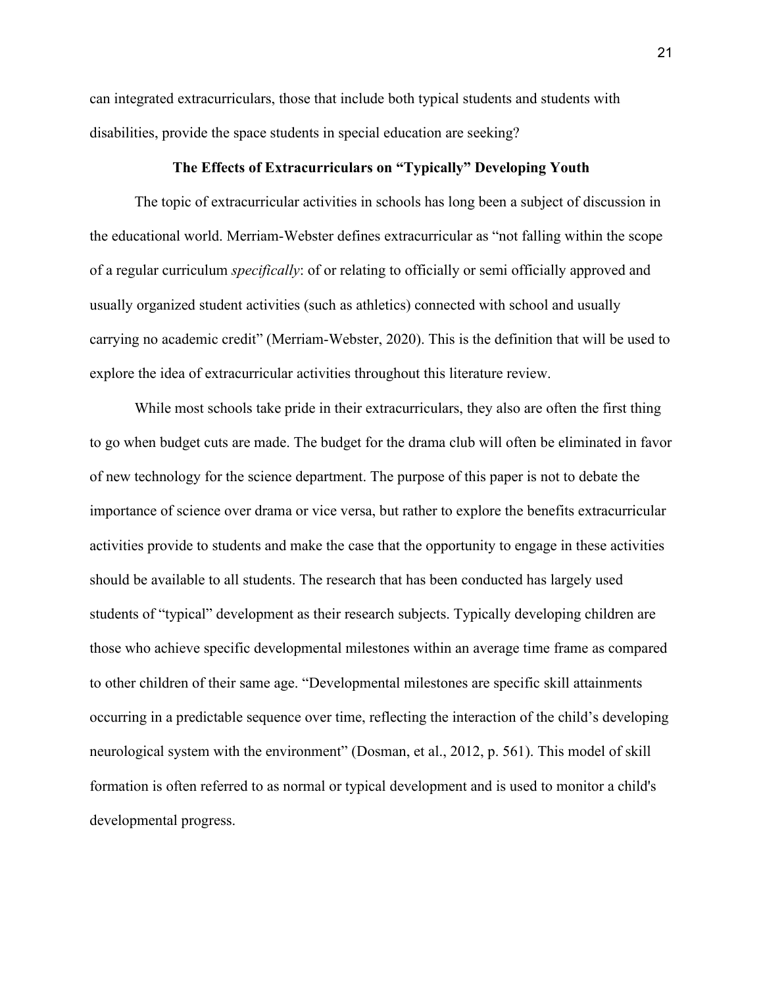can integrated extracurriculars, those that include both typical students and students with disabilities, provide the space students in special education are seeking?

### **The Effects of Extracurriculars on "Typically" Developing Youth**

The topic of extracurricular activities in schools has long been a subject of discussion in the educational world. Merriam-Webster defines extracurricular as "not falling within the scope of a regular curriculum *specifically*: of or relating to officially or semi officially approved and usually organized student activities (such as athletics) connected with school and usually carrying no academic credit" (Merriam-Webster, 2020). This is the definition that will be used to explore the idea of extracurricular activities throughout this literature review.

While most schools take pride in their extracurriculars, they also are often the first thing to go when budget cuts are made. The budget for the drama club will often be eliminated in favor of new technology for the science department. The purpose of this paper is not to debate the importance of science over drama or vice versa, but rather to explore the benefits extracurricular activities provide to students and make the case that the opportunity to engage in these activities should be available to all students. The research that has been conducted has largely used students of "typical" development as their research subjects. Typically developing children are those who achieve specific developmental milestones within an average time frame as compared to other children of their same age. "Developmental milestones are specific skill attainments occurring in a predictable sequence over time, reflecting the interaction of the child's developing neurological system with the environment" (Dosman, et al., 2012, p. 561). This model of skill formation is often referred to as normal or typical development and is used to monitor a child's developmental progress.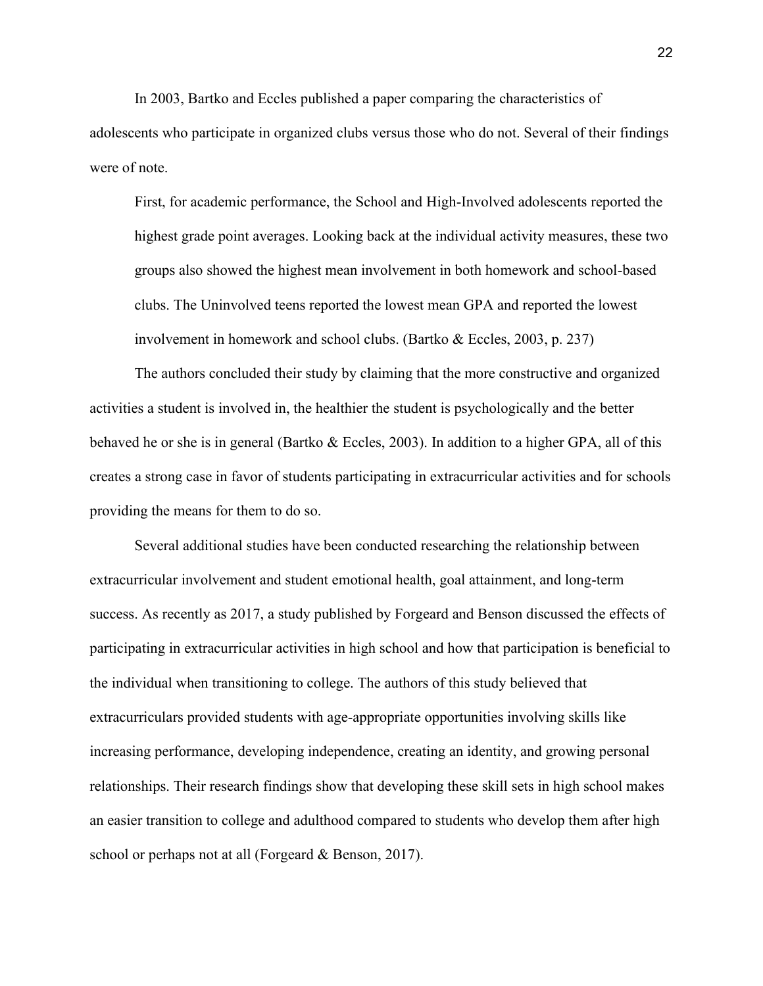In 2003, Bartko and Eccles published a paper comparing the characteristics of adolescents who participate in organized clubs versus those who do not. Several of their findings were of note.

First, for academic performance, the School and High-Involved adolescents reported the highest grade point averages. Looking back at the individual activity measures, these two groups also showed the highest mean involvement in both homework and school-based clubs. The Uninvolved teens reported the lowest mean GPA and reported the lowest involvement in homework and school clubs. (Bartko & Eccles, 2003, p. 237)

The authors concluded their study by claiming that the more constructive and organized activities a student is involved in, the healthier the student is psychologically and the better behaved he or she is in general (Bartko & Eccles, 2003). In addition to a higher GPA, all of this creates a strong case in favor of students participating in extracurricular activities and for schools providing the means for them to do so.

Several additional studies have been conducted researching the relationship between extracurricular involvement and student emotional health, goal attainment, and long-term success. As recently as 2017, a study published by Forgeard and Benson discussed the effects of participating in extracurricular activities in high school and how that participation is beneficial to the individual when transitioning to college. The authors of this study believed that extracurriculars provided students with age-appropriate opportunities involving skills like increasing performance, developing independence, creating an identity, and growing personal relationships. Their research findings show that developing these skill sets in high school makes an easier transition to college and adulthood compared to students who develop them after high school or perhaps not at all (Forgeard & Benson, 2017).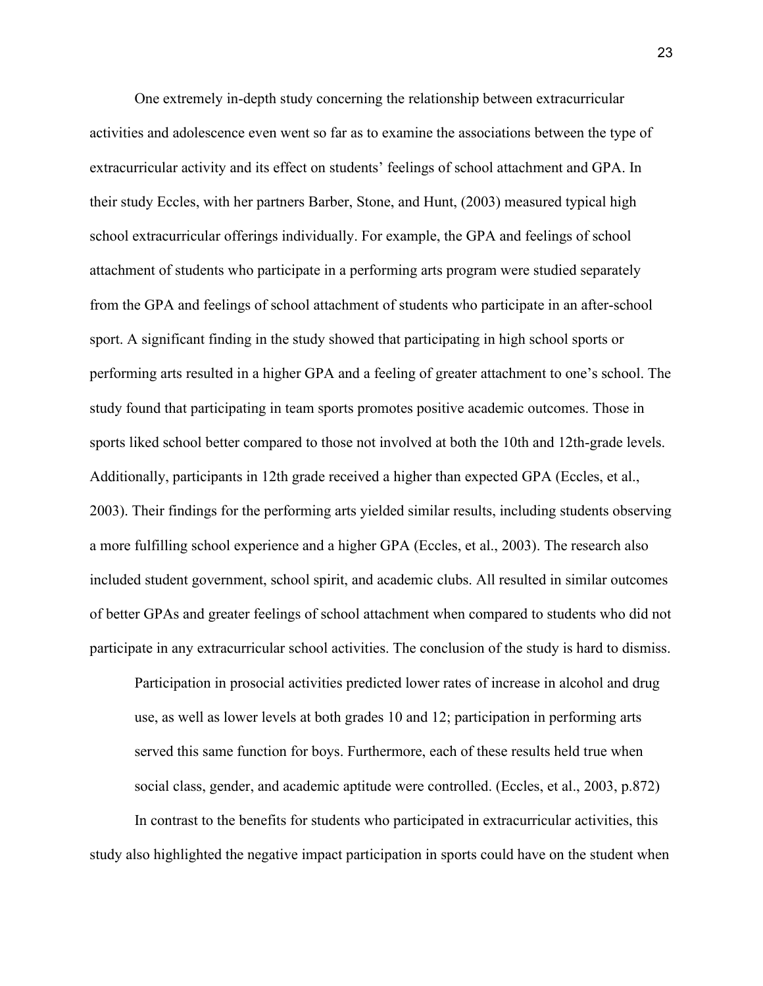One extremely in-depth study concerning the relationship between extracurricular activities and adolescence even went so far as to examine the associations between the type of extracurricular activity and its effect on students' feelings of school attachment and GPA. In their study Eccles, with her partners Barber, Stone, and Hunt, (2003) measured typical high school extracurricular offerings individually. For example, the GPA and feelings of school attachment of students who participate in a performing arts program were studied separately from the GPA and feelings of school attachment of students who participate in an after-school sport. A significant finding in the study showed that participating in high school sports or performing arts resulted in a higher GPA and a feeling of greater attachment to one's school. The study found that participating in team sports promotes positive academic outcomes. Those in sports liked school better compared to those not involved at both the 10th and 12th-grade levels. Additionally, participants in 12th grade received a higher than expected GPA (Eccles, et al., 2003). Their findings for the performing arts yielded similar results, including students observing a more fulfilling school experience and a higher GPA (Eccles, et al., 2003). The research also included student government, school spirit, and academic clubs. All resulted in similar outcomes of better GPAs and greater feelings of school attachment when compared to students who did not participate in any extracurricular school activities. The conclusion of the study is hard to dismiss.

Participation in prosocial activities predicted lower rates of increase in alcohol and drug use, as well as lower levels at both grades 10 and 12; participation in performing arts served this same function for boys. Furthermore, each of these results held true when social class, gender, and academic aptitude were controlled. (Eccles, et al., 2003, p.872)

In contrast to the benefits for students who participated in extracurricular activities, this study also highlighted the negative impact participation in sports could have on the student when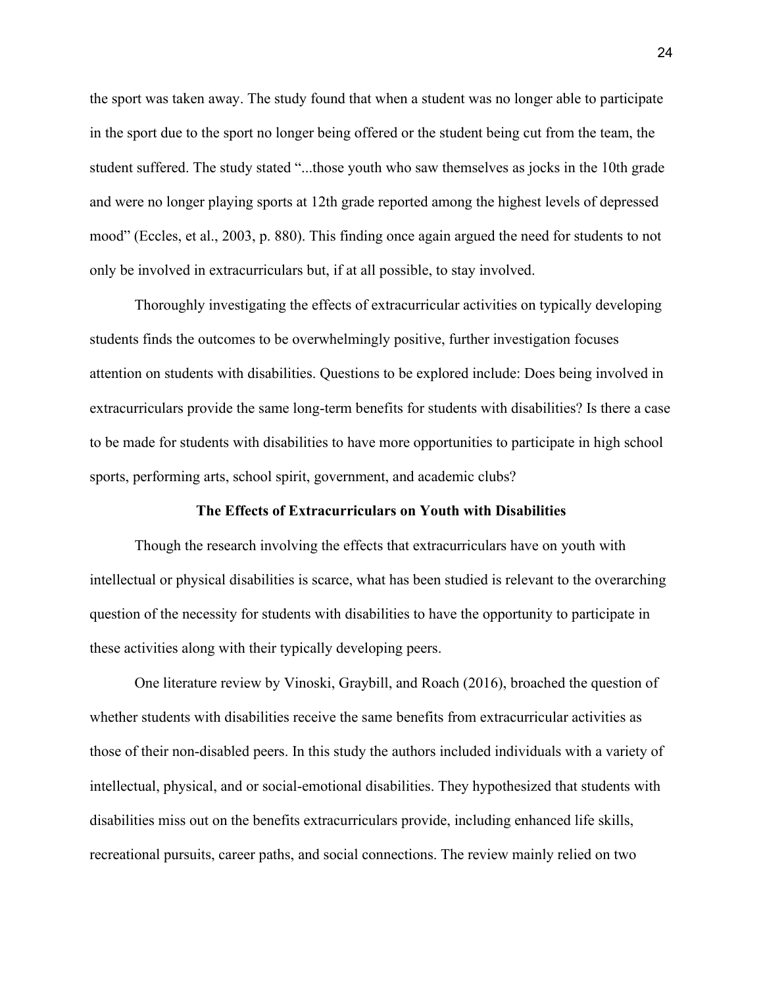the sport was taken away. The study found that when a student was no longer able to participate in the sport due to the sport no longer being offered or the student being cut from the team, the student suffered. The study stated "...those youth who saw themselves as jocks in the 10th grade and were no longer playing sports at 12th grade reported among the highest levels of depressed mood" (Eccles, et al., 2003, p. 880). This finding once again argued the need for students to not only be involved in extracurriculars but, if at all possible, to stay involved.

Thoroughly investigating the effects of extracurricular activities on typically developing students finds the outcomes to be overwhelmingly positive, further investigation focuses attention on students with disabilities. Questions to be explored include: Does being involved in extracurriculars provide the same long-term benefits for students with disabilities? Is there a case to be made for students with disabilities to have more opportunities to participate in high school sports, performing arts, school spirit, government, and academic clubs?

#### **The Effects of Extracurriculars on Youth with Disabilities**

Though the research involving the effects that extracurriculars have on youth with intellectual or physical disabilities is scarce, what has been studied is relevant to the overarching question of the necessity for students with disabilities to have the opportunity to participate in these activities along with their typically developing peers.

One literature review by Vinoski, Graybill, and Roach (2016), broached the question of whether students with disabilities receive the same benefits from extracurricular activities as those of their non-disabled peers. In this study the authors included individuals with a variety of intellectual, physical, and or social-emotional disabilities. They hypothesized that students with disabilities miss out on the benefits extracurriculars provide, including enhanced life skills, recreational pursuits, career paths, and social connections. The review mainly relied on two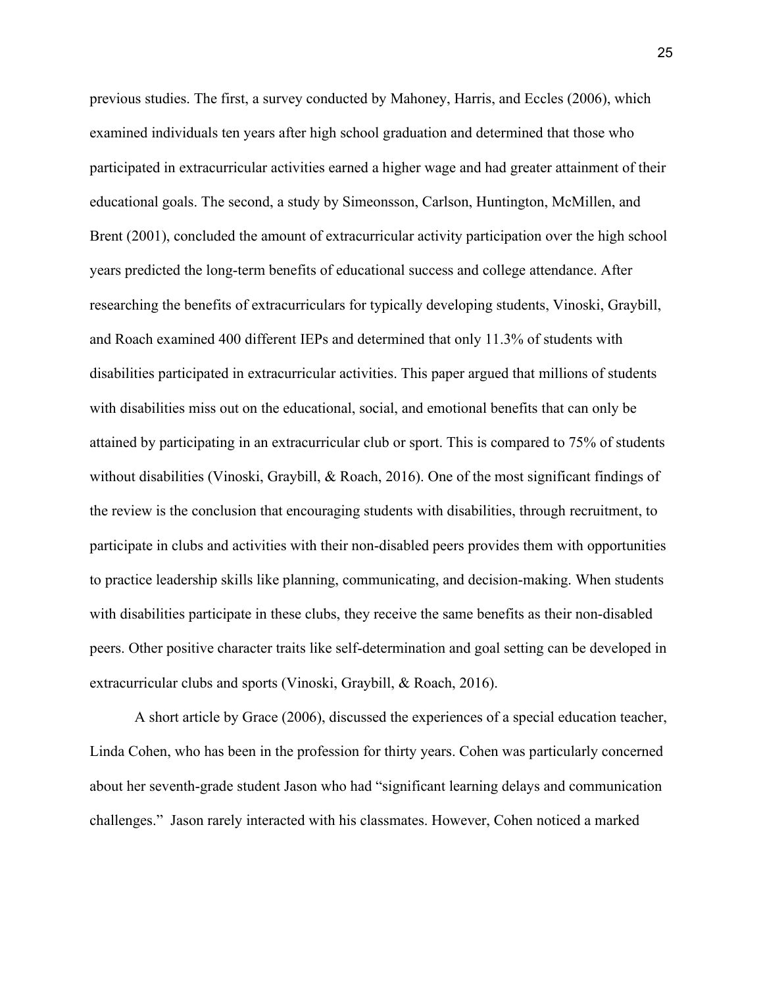previous studies. The first, a survey conducted by Mahoney, Harris, and Eccles (2006), which examined individuals ten years after high school graduation and determined that those who participated in extracurricular activities earned a higher wage and had greater attainment of their educational goals. The second, a study by Simeonsson, Carlson, Huntington, McMillen, and Brent (2001), concluded the amount of extracurricular activity participation over the high school years predicted the long-term benefits of educational success and college attendance. After researching the benefits of extracurriculars for typically developing students, Vinoski, Graybill, and Roach examined 400 different IEPs and determined that only 11.3% of students with disabilities participated in extracurricular activities. This paper argued that millions of students with disabilities miss out on the educational, social, and emotional benefits that can only be attained by participating in an extracurricular club or sport. This is compared to 75% of students without disabilities (Vinoski, Graybill, & Roach, 2016). One of the most significant findings of the review is the conclusion that encouraging students with disabilities, through recruitment, to participate in clubs and activities with their non-disabled peers provides them with opportunities to practice leadership skills like planning, communicating, and decision-making. When students with disabilities participate in these clubs, they receive the same benefits as their non-disabled peers. Other positive character traits like self-determination and goal setting can be developed in extracurricular clubs and sports (Vinoski, Graybill, & Roach, 2016).

A short article by Grace (2006), discussed the experiences of a special education teacher, Linda Cohen, who has been in the profession for thirty years. Cohen was particularly concerned about her seventh-grade student Jason who had "significant learning delays and communication challenges." Jason rarely interacted with his classmates. However, Cohen noticed a marked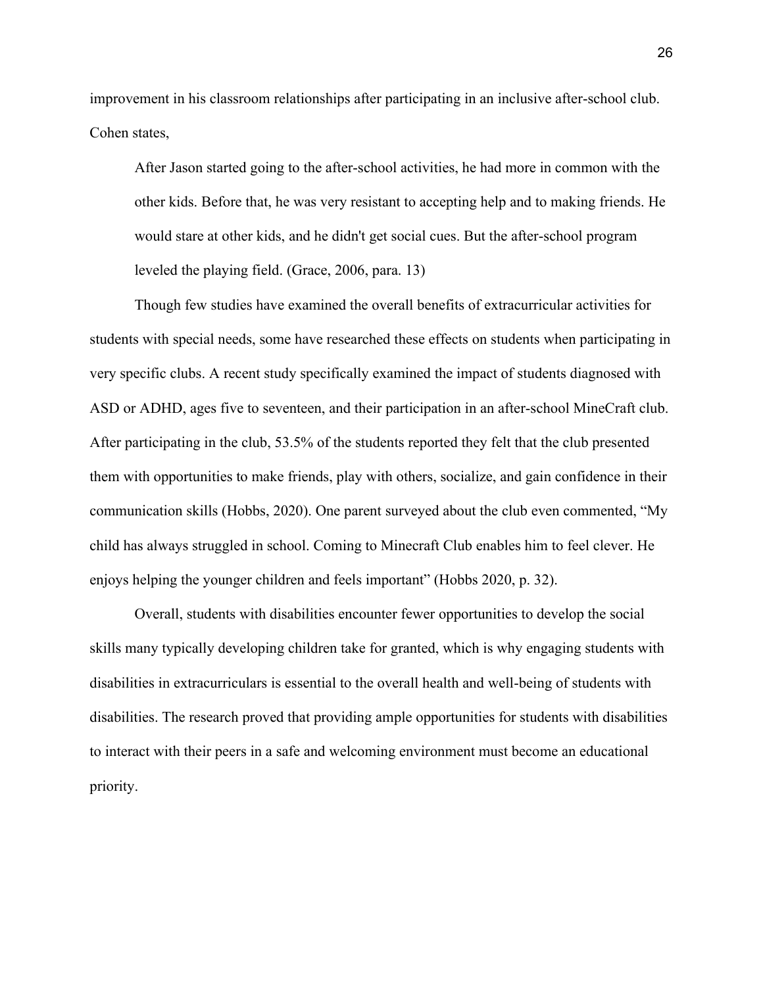improvement in his classroom relationships after participating in an inclusive after-school club. Cohen states,

After Jason started going to the after-school activities, he had more in common with the other kids. Before that, he was very resistant to accepting help and to making friends. He would stare at other kids, and he didn't get social cues. But the after-school program leveled the playing field. (Grace, 2006, para. 13)

Though few studies have examined the overall benefits of extracurricular activities for students with special needs, some have researched these effects on students when participating in very specific clubs. A recent study specifically examined the impact of students diagnosed with ASD or ADHD, ages five to seventeen, and their participation in an after-school MineCraft club. After participating in the club, 53.5% of the students reported they felt that the club presented them with opportunities to make friends, play with others, socialize, and gain confidence in their communication skills (Hobbs, 2020). One parent surveyed about the club even commented, "My child has always struggled in school. Coming to Minecraft Club enables him to feel clever. He enjoys helping the younger children and feels important" (Hobbs 2020, p. 32).

Overall, students with disabilities encounter fewer opportunities to develop the social skills many typically developing children take for granted, which is why engaging students with disabilities in extracurriculars is essential to the overall health and well-being of students with disabilities. The research proved that providing ample opportunities for students with disabilities to interact with their peers in a safe and welcoming environment must become an educational priority.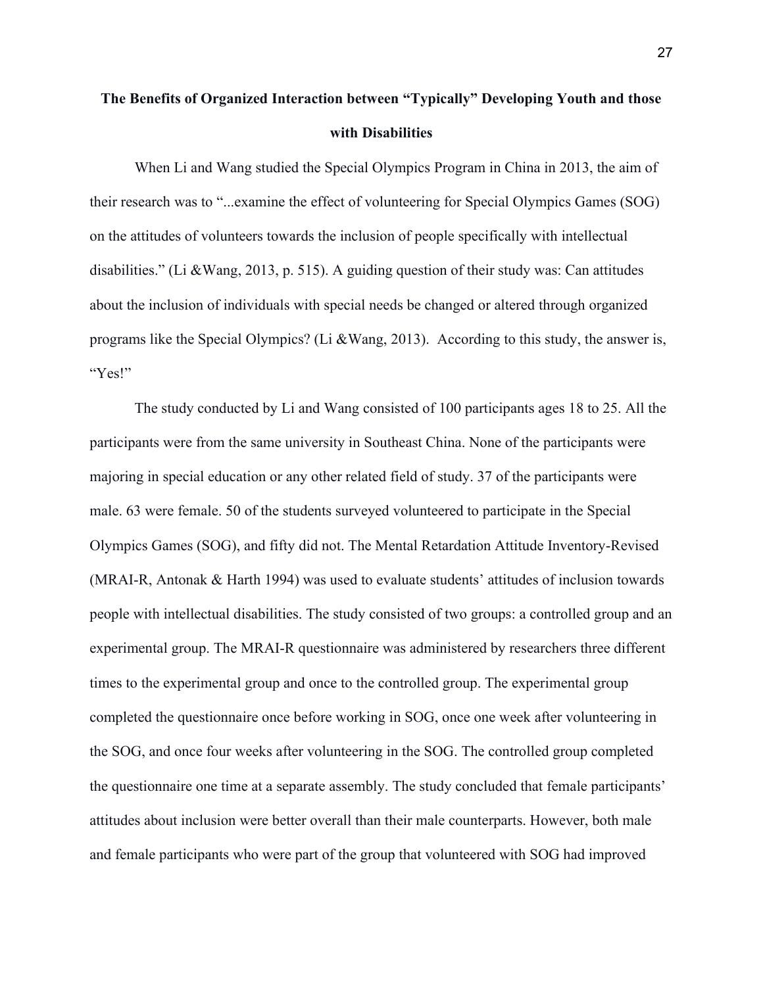# **The Benefits of Organized Interaction between "Typically" Developing Youth and those with Disabilities**

 When Li and Wang studied the Special Olympics Program in China in 2013, the aim of their research was to "...examine the effect of volunteering for Special Olympics Games (SOG) on the attitudes of volunteers towards the inclusion of people specifically with intellectual disabilities." (Li &Wang, 2013, p. 515). A guiding question of their study was: Can attitudes about the inclusion of individuals with special needs be changed or altered through organized programs like the Special Olympics? (Li &Wang, 2013). According to this study, the answer is, "Yes!"

The study conducted by Li and Wang consisted of 100 participants ages 18 to 25. All the participants were from the same university in Southeast China. None of the participants were majoring in special education or any other related field of study. 37 of the participants were male. 63 were female. 50 of the students surveyed volunteered to participate in the Special Olympics Games (SOG), and fifty did not. The Mental Retardation Attitude Inventory-Revised (MRAI-R, Antonak & Harth 1994) was used to evaluate students' attitudes of inclusion towards people with intellectual disabilities. The study consisted of two groups: a controlled group and an experimental group. The MRAI-R questionnaire was administered by researchers three different times to the experimental group and once to the controlled group. The experimental group completed the questionnaire once before working in SOG, once one week after volunteering in the SOG, and once four weeks after volunteering in the SOG. The controlled group completed the questionnaire one time at a separate assembly. The study concluded that female participants' attitudes about inclusion were better overall than their male counterparts. However, both male and female participants who were part of the group that volunteered with SOG had improved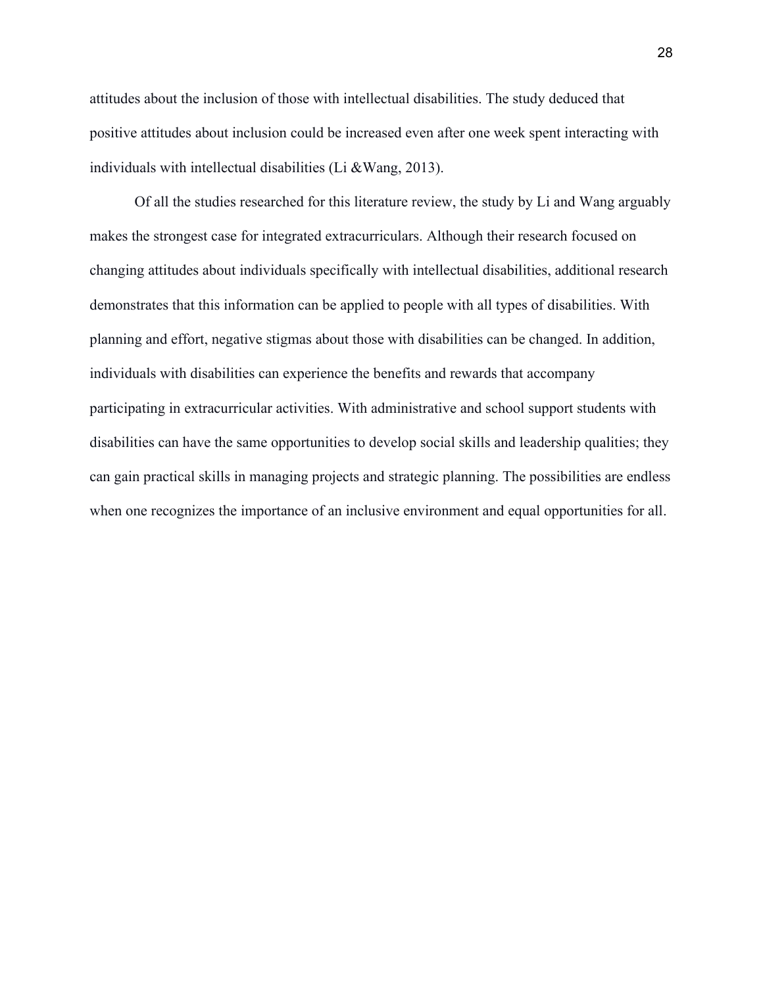attitudes about the inclusion of those with intellectual disabilities. The study deduced that positive attitudes about inclusion could be increased even after one week spent interacting with individuals with intellectual disabilities (Li &Wang, 2013).

Of all the studies researched for this literature review, the study by Li and Wang arguably makes the strongest case for integrated extracurriculars. Although their research focused on changing attitudes about individuals specifically with intellectual disabilities, additional research demonstrates that this information can be applied to people with all types of disabilities. With planning and effort, negative stigmas about those with disabilities can be changed. In addition, individuals with disabilities can experience the benefits and rewards that accompany participating in extracurricular activities. With administrative and school support students with disabilities can have the same opportunities to develop social skills and leadership qualities; they can gain practical skills in managing projects and strategic planning. The possibilities are endless when one recognizes the importance of an inclusive environment and equal opportunities for all.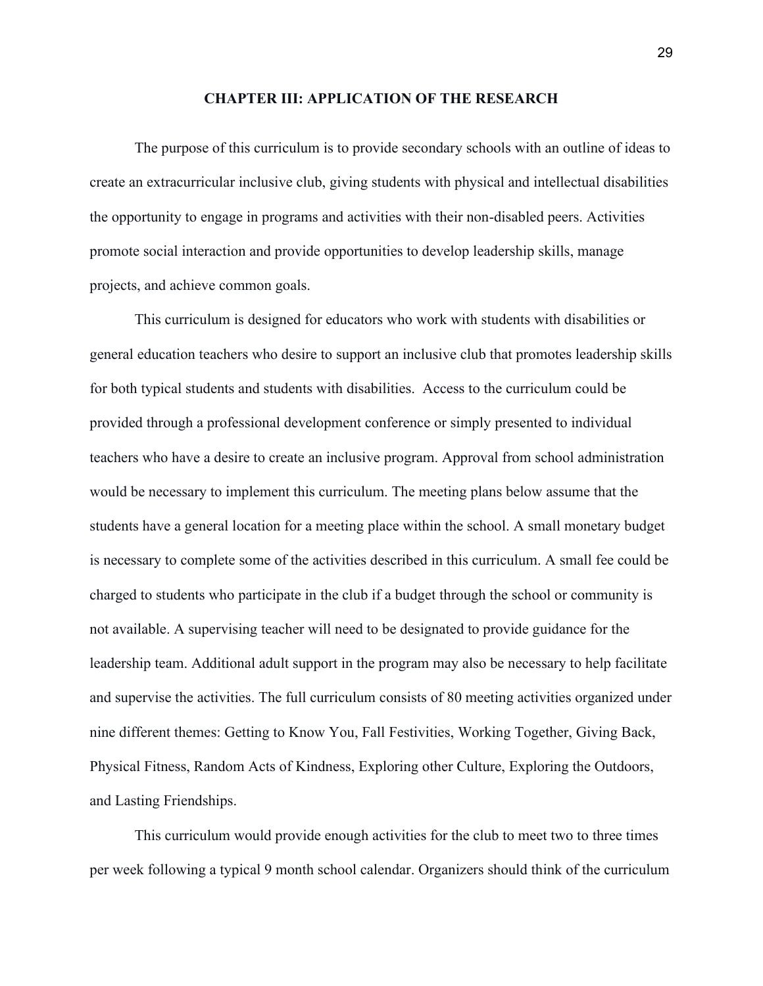#### **CHAPTER III: APPLICATION OF THE RESEARCH**

The purpose of this curriculum is to provide secondary schools with an outline of ideas to create an extracurricular inclusive club, giving students with physical and intellectual disabilities the opportunity to engage in programs and activities with their non-disabled peers. Activities promote social interaction and provide opportunities to develop leadership skills, manage projects, and achieve common goals.

This curriculum is designed for educators who work with students with disabilities or general education teachers who desire to support an inclusive club that promotes leadership skills for both typical students and students with disabilities. Access to the curriculum could be provided through a professional development conference or simply presented to individual teachers who have a desire to create an inclusive program. Approval from school administration would be necessary to implement this curriculum. The meeting plans below assume that the students have a general location for a meeting place within the school. A small monetary budget is necessary to complete some of the activities described in this curriculum. A small fee could be charged to students who participate in the club if a budget through the school or community is not available. A supervising teacher will need to be designated to provide guidance for the leadership team. Additional adult support in the program may also be necessary to help facilitate and supervise the activities. The full curriculum consists of 80 meeting activities organized under nine different themes: Getting to Know You, Fall Festivities, Working Together, Giving Back, Physical Fitness, Random Acts of Kindness, Exploring other Culture, Exploring the Outdoors, and Lasting Friendships.

This curriculum would provide enough activities for the club to meet two to three times per week following a typical 9 month school calendar. Organizers should think of the curriculum

29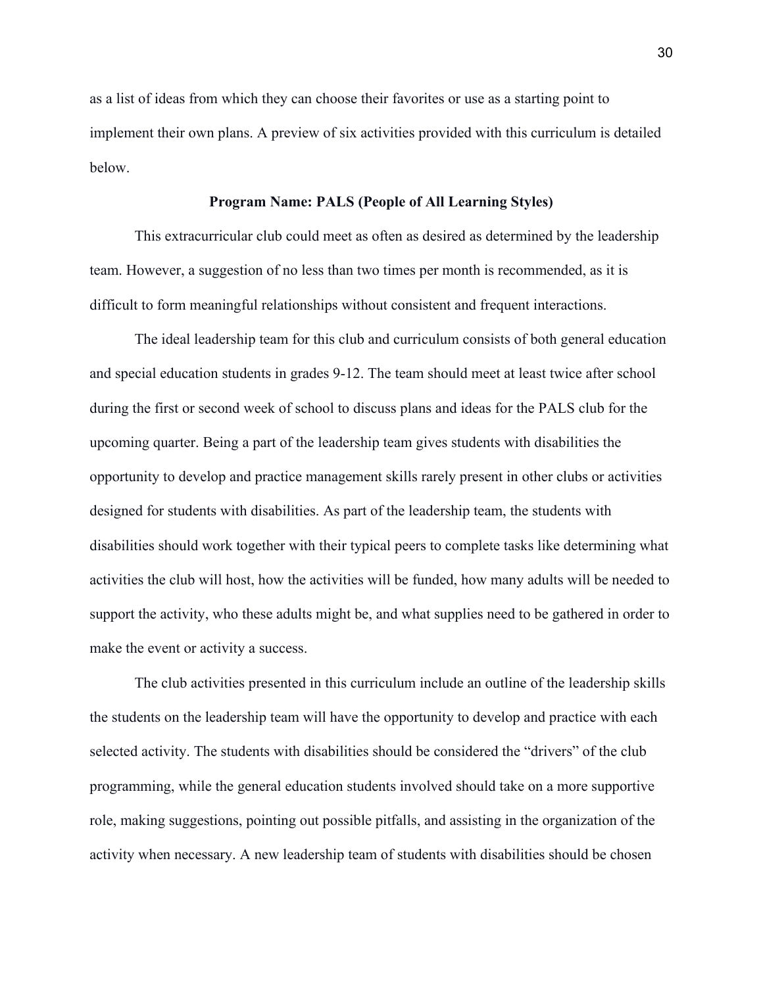as a list of ideas from which they can choose their favorites or use as a starting point to implement their own plans. A preview of six activities provided with this curriculum is detailed below.

#### **Program Name: PALS (People of All Learning Styles)**

This extracurricular club could meet as often as desired as determined by the leadership team. However, a suggestion of no less than two times per month is recommended, as it is difficult to form meaningful relationships without consistent and frequent interactions.

The ideal leadership team for this club and curriculum consists of both general education and special education students in grades 9-12. The team should meet at least twice after school during the first or second week of school to discuss plans and ideas for the PALS club for the upcoming quarter. Being a part of the leadership team gives students with disabilities the opportunity to develop and practice management skills rarely present in other clubs or activities designed for students with disabilities. As part of the leadership team, the students with disabilities should work together with their typical peers to complete tasks like determining what activities the club will host, how the activities will be funded, how many adults will be needed to support the activity, who these adults might be, and what supplies need to be gathered in order to make the event or activity a success.

The club activities presented in this curriculum include an outline of the leadership skills the students on the leadership team will have the opportunity to develop and practice with each selected activity. The students with disabilities should be considered the "drivers" of the club programming, while the general education students involved should take on a more supportive role, making suggestions, pointing out possible pitfalls, and assisting in the organization of the activity when necessary. A new leadership team of students with disabilities should be chosen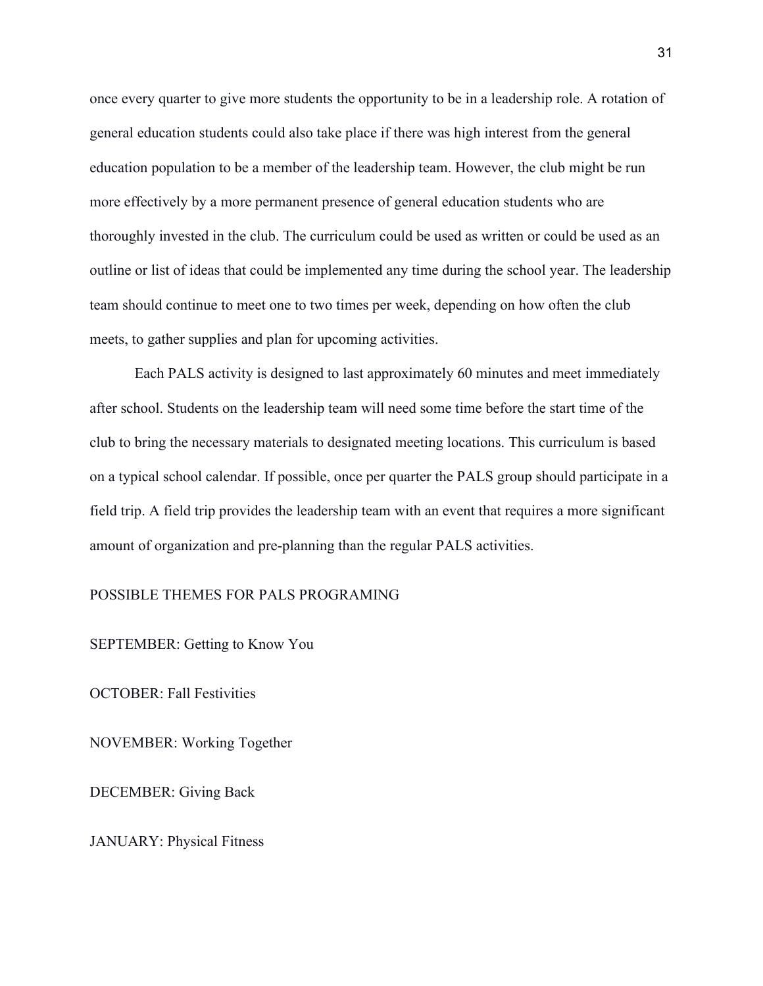once every quarter to give more students the opportunity to be in a leadership role. A rotation of general education students could also take place if there was high interest from the general education population to be a member of the leadership team. However, the club might be run more effectively by a more permanent presence of general education students who are thoroughly invested in the club. The curriculum could be used as written or could be used as an outline or list of ideas that could be implemented any time during the school year. The leadership team should continue to meet one to two times per week, depending on how often the club meets, to gather supplies and plan for upcoming activities.

Each PALS activity is designed to last approximately 60 minutes and meet immediately after school. Students on the leadership team will need some time before the start time of the club to bring the necessary materials to designated meeting locations. This curriculum is based on a typical school calendar. If possible, once per quarter the PALS group should participate in a field trip. A field trip provides the leadership team with an event that requires a more significant amount of organization and pre-planning than the regular PALS activities.

### POSSIBLE THEMES FOR PALS PROGRAMING

SEPTEMBER: Getting to Know You

OCTOBER: Fall Festivities

NOVEMBER: Working Together

DECEMBER: Giving Back

JANUARY: Physical Fitness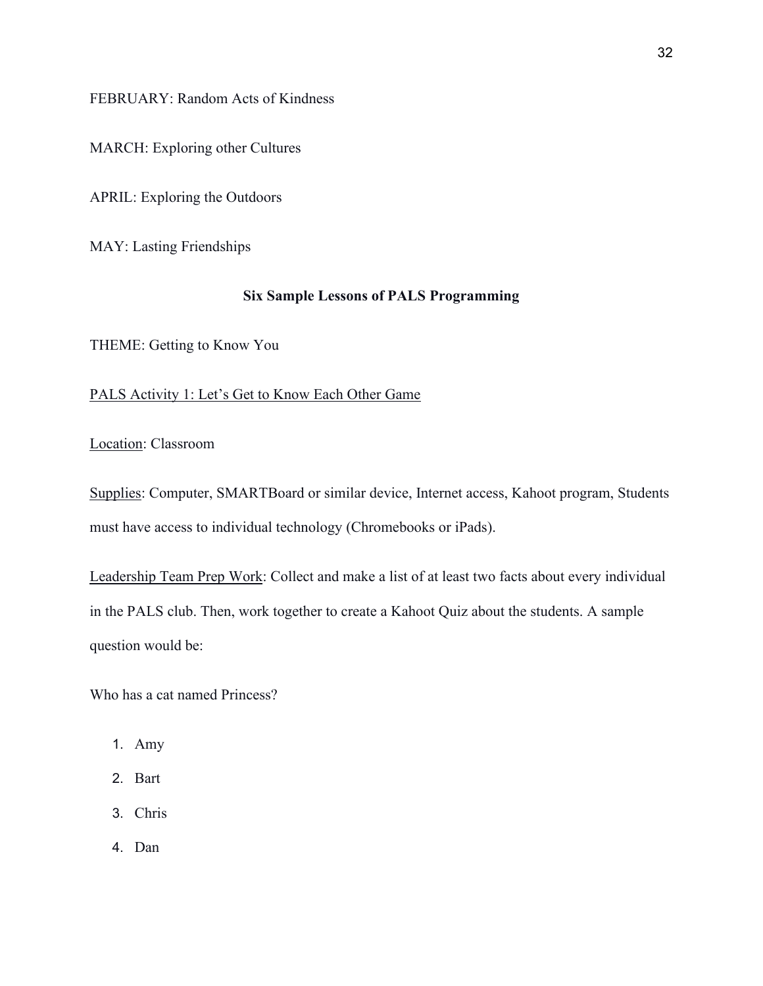FEBRUARY: Random Acts of Kindness

MARCH: Exploring other Cultures

APRIL: Exploring the Outdoors

MAY: Lasting Friendships

# **Six Sample Lessons of PALS Programming**

THEME: Getting to Know You

# PALS Activity 1: Let's Get to Know Each Other Game

Location: Classroom

Supplies: Computer, SMARTBoard or similar device, Internet access, Kahoot program, Students must have access to individual technology (Chromebooks or iPads).

Leadership Team Prep Work: Collect and make a list of at least two facts about every individual in the PALS club. Then, work together to create a Kahoot Quiz about the students. A sample question would be:

Who has a cat named Princess?

- 1. Amy
- 2. Bart
- 3. Chris
- 4. Dan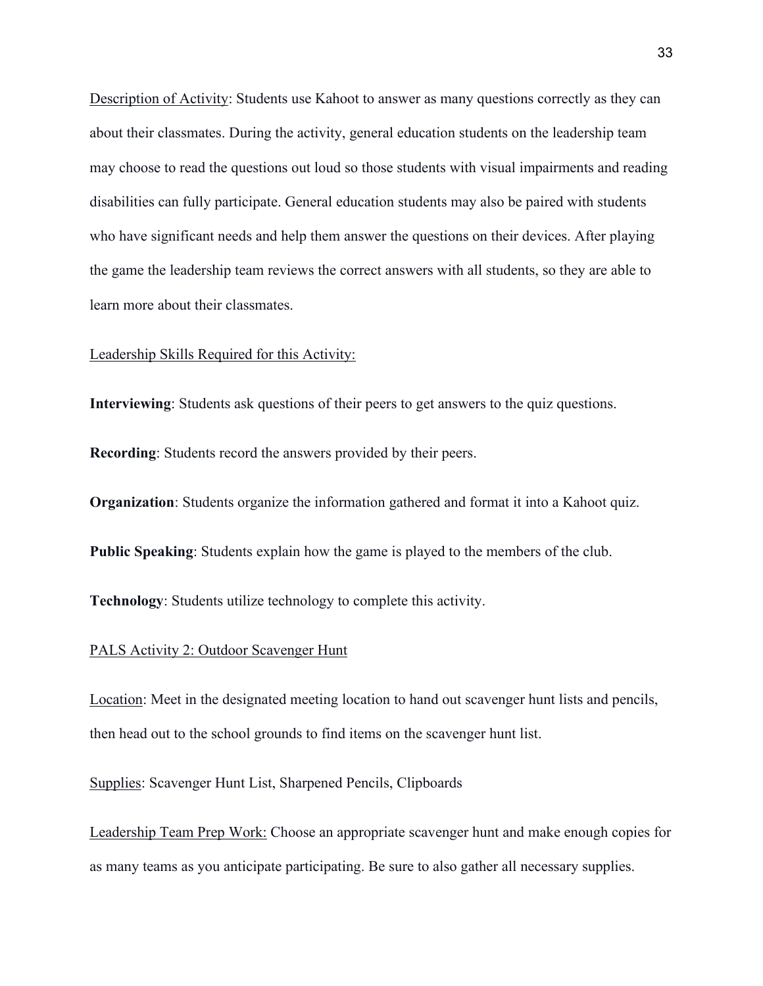Description of Activity: Students use Kahoot to answer as many questions correctly as they can about their classmates. During the activity, general education students on the leadership team may choose to read the questions out loud so those students with visual impairments and reading disabilities can fully participate. General education students may also be paired with students who have significant needs and help them answer the questions on their devices. After playing the game the leadership team reviews the correct answers with all students, so they are able to learn more about their classmates.

#### Leadership Skills Required for this Activity:

**Interviewing**: Students ask questions of their peers to get answers to the quiz questions.

**Recording**: Students record the answers provided by their peers.

**Organization**: Students organize the information gathered and format it into a Kahoot quiz.

**Public Speaking**: Students explain how the game is played to the members of the club.

**Technology**: Students utilize technology to complete this activity.

## PALS Activity 2: Outdoor Scavenger Hunt

Location: Meet in the designated meeting location to hand out scavenger hunt lists and pencils, then head out to the school grounds to find items on the scavenger hunt list.

Supplies: Scavenger Hunt List, Sharpened Pencils, Clipboards

Leadership Team Prep Work: Choose an appropriate scavenger hunt and make enough copies for as many teams as you anticipate participating. Be sure to also gather all necessary supplies.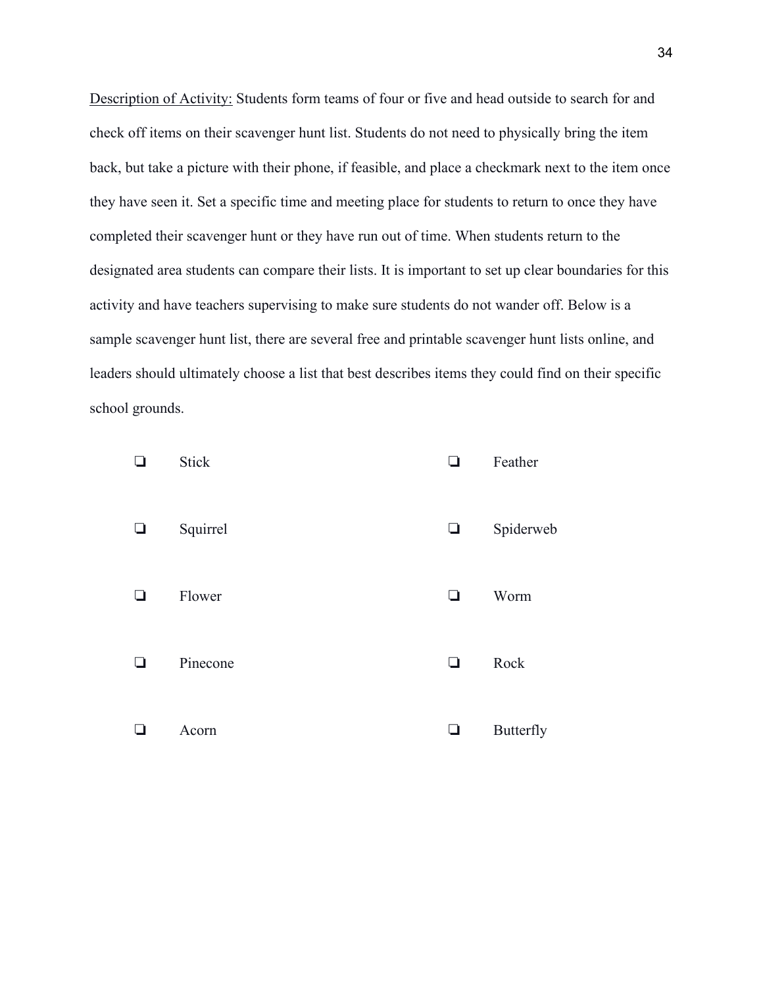Description of Activity: Students form teams of four or five and head outside to search for and check off items on their scavenger hunt list. Students do not need to physically bring the item back, but take a picture with their phone, if feasible, and place a checkmark next to the item once they have seen it. Set a specific time and meeting place for students to return to once they have completed their scavenger hunt or they have run out of time. When students return to the designated area students can compare their lists. It is important to set up clear boundaries for this activity and have teachers supervising to make sure students do not wander off. Below is a sample scavenger hunt list, there are several free and printable scavenger hunt lists online, and leaders should ultimately choose a list that best describes items they could find on their specific school grounds.

|   | <b>Stick</b> | ٦      | Feather          |
|---|--------------|--------|------------------|
| ⊔ | Squirrel     | $\Box$ | Spiderweb        |
|   | Flower       | ❏      | Worm             |
| ப | Pinecone     | ❏      | Rock             |
|   | Acorn        | ⊔      | <b>Butterfly</b> |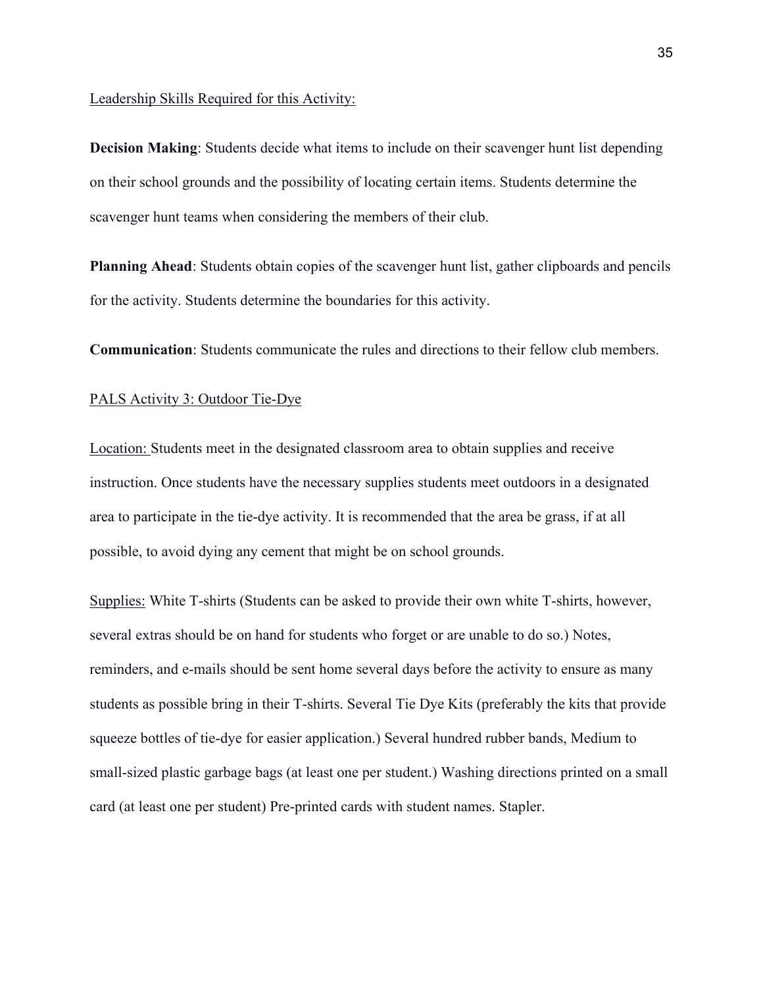#### Leadership Skills Required for this Activity:

**Decision Making**: Students decide what items to include on their scavenger hunt list depending on their school grounds and the possibility of locating certain items. Students determine the scavenger hunt teams when considering the members of their club.

**Planning Ahead**: Students obtain copies of the scavenger hunt list, gather clipboards and pencils for the activity. Students determine the boundaries for this activity.

**Communication**: Students communicate the rules and directions to their fellow club members.

### PALS Activity 3: Outdoor Tie-Dye

Location: Students meet in the designated classroom area to obtain supplies and receive instruction. Once students have the necessary supplies students meet outdoors in a designated area to participate in the tie-dye activity. It is recommended that the area be grass, if at all possible, to avoid dying any cement that might be on school grounds.

Supplies: White T-shirts (Students can be asked to provide their own white T-shirts, however, several extras should be on hand for students who forget or are unable to do so.) Notes, reminders, and e-mails should be sent home several days before the activity to ensure as many students as possible bring in their T-shirts. Several Tie Dye Kits (preferably the kits that provide squeeze bottles of tie-dye for easier application.) Several hundred rubber bands, Medium to small-sized plastic garbage bags (at least one per student.) Washing directions printed on a small card (at least one per student) Pre-printed cards with student names. Stapler.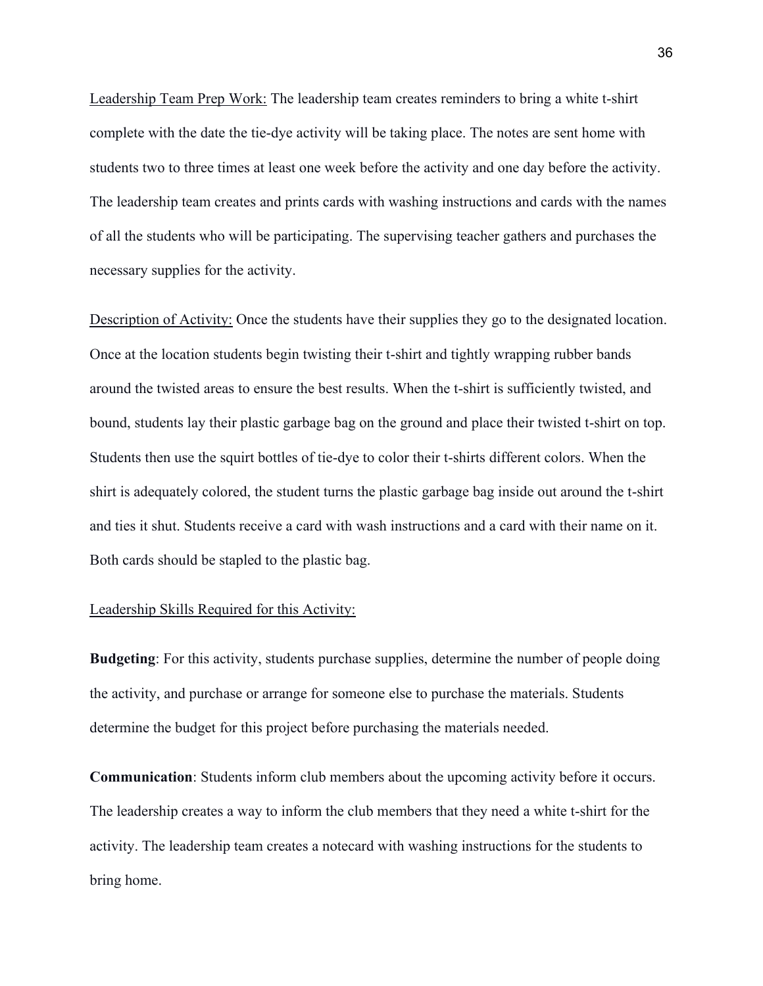Leadership Team Prep Work: The leadership team creates reminders to bring a white t-shirt complete with the date the tie-dye activity will be taking place. The notes are sent home with students two to three times at least one week before the activity and one day before the activity. The leadership team creates and prints cards with washing instructions and cards with the names of all the students who will be participating. The supervising teacher gathers and purchases the necessary supplies for the activity.

Description of Activity: Once the students have their supplies they go to the designated location. Once at the location students begin twisting their t-shirt and tightly wrapping rubber bands around the twisted areas to ensure the best results. When the t-shirt is sufficiently twisted, and bound, students lay their plastic garbage bag on the ground and place their twisted t-shirt on top. Students then use the squirt bottles of tie-dye to color their t-shirts different colors. When the shirt is adequately colored, the student turns the plastic garbage bag inside out around the t-shirt and ties it shut. Students receive a card with wash instructions and a card with their name on it. Both cards should be stapled to the plastic bag.

# Leadership Skills Required for this Activity:

**Budgeting**: For this activity, students purchase supplies, determine the number of people doing the activity, and purchase or arrange for someone else to purchase the materials. Students determine the budget for this project before purchasing the materials needed.

**Communication**: Students inform club members about the upcoming activity before it occurs. The leadership creates a way to inform the club members that they need a white t-shirt for the activity. The leadership team creates a notecard with washing instructions for the students to bring home.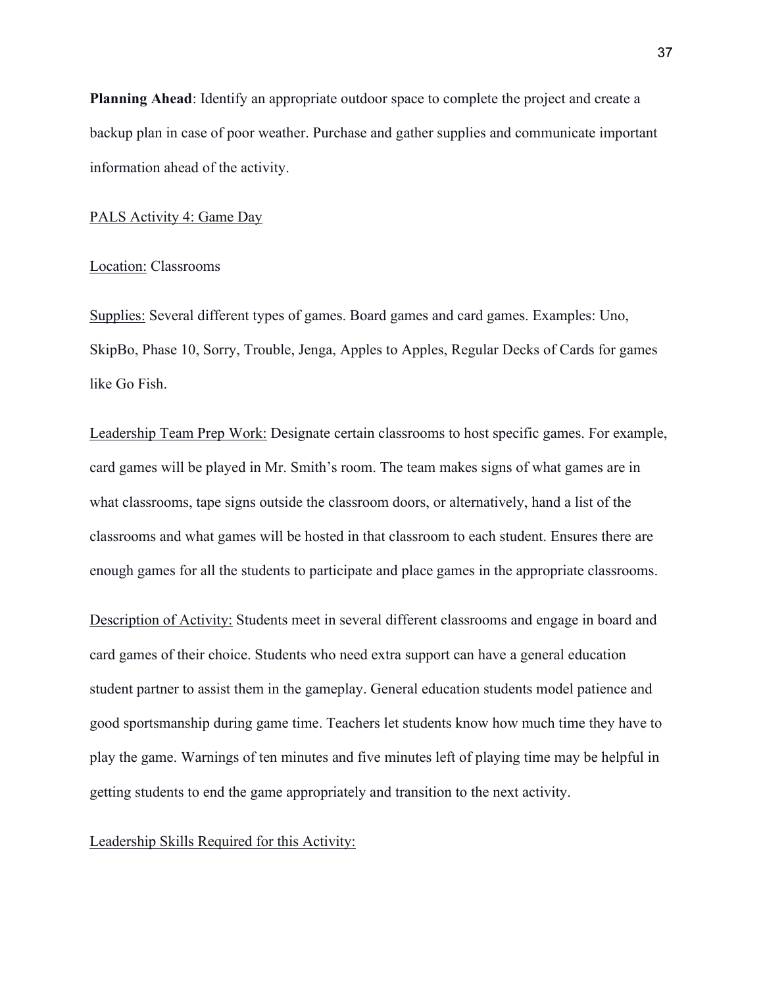**Planning Ahead**: Identify an appropriate outdoor space to complete the project and create a backup plan in case of poor weather. Purchase and gather supplies and communicate important information ahead of the activity.

#### PALS Activity 4: Game Day

### Location: Classrooms

Supplies: Several different types of games. Board games and card games. Examples: Uno, SkipBo, Phase 10, Sorry, Trouble, Jenga, Apples to Apples, Regular Decks of Cards for games like Go Fish.

Leadership Team Prep Work: Designate certain classrooms to host specific games. For example, card games will be played in Mr. Smith's room. The team makes signs of what games are in what classrooms, tape signs outside the classroom doors, or alternatively, hand a list of the classrooms and what games will be hosted in that classroom to each student. Ensures there are enough games for all the students to participate and place games in the appropriate classrooms.

Description of Activity: Students meet in several different classrooms and engage in board and card games of their choice. Students who need extra support can have a general education student partner to assist them in the gameplay. General education students model patience and good sportsmanship during game time. Teachers let students know how much time they have to play the game. Warnings of ten minutes and five minutes left of playing time may be helpful in getting students to end the game appropriately and transition to the next activity.

#### Leadership Skills Required for this Activity: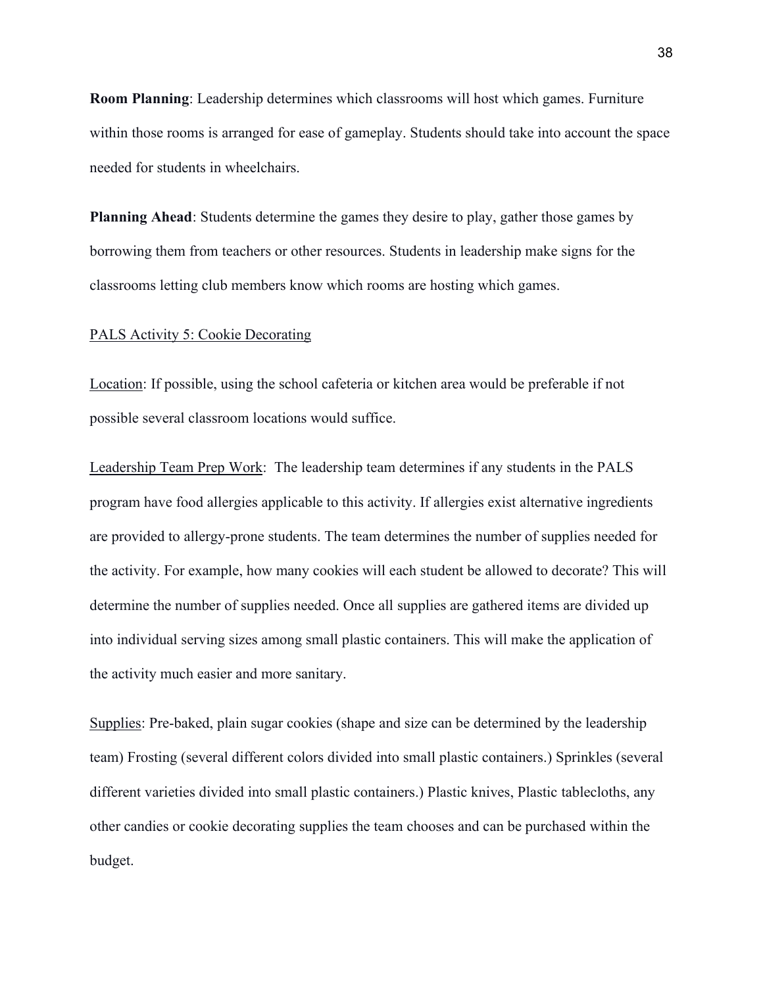**Room Planning**: Leadership determines which classrooms will host which games. Furniture within those rooms is arranged for ease of gameplay. Students should take into account the space needed for students in wheelchairs.

**Planning Ahead**: Students determine the games they desire to play, gather those games by borrowing them from teachers or other resources. Students in leadership make signs for the classrooms letting club members know which rooms are hosting which games.

### PALS Activity 5: Cookie Decorating

Location: If possible, using the school cafeteria or kitchen area would be preferable if not possible several classroom locations would suffice.

Leadership Team Prep Work: The leadership team determines if any students in the PALS program have food allergies applicable to this activity. If allergies exist alternative ingredients are provided to allergy-prone students. The team determines the number of supplies needed for the activity. For example, how many cookies will each student be allowed to decorate? This will determine the number of supplies needed. Once all supplies are gathered items are divided up into individual serving sizes among small plastic containers. This will make the application of the activity much easier and more sanitary.

Supplies: Pre-baked, plain sugar cookies (shape and size can be determined by the leadership team) Frosting (several different colors divided into small plastic containers.) Sprinkles (several different varieties divided into small plastic containers.) Plastic knives, Plastic tablecloths, any other candies or cookie decorating supplies the team chooses and can be purchased within the budget.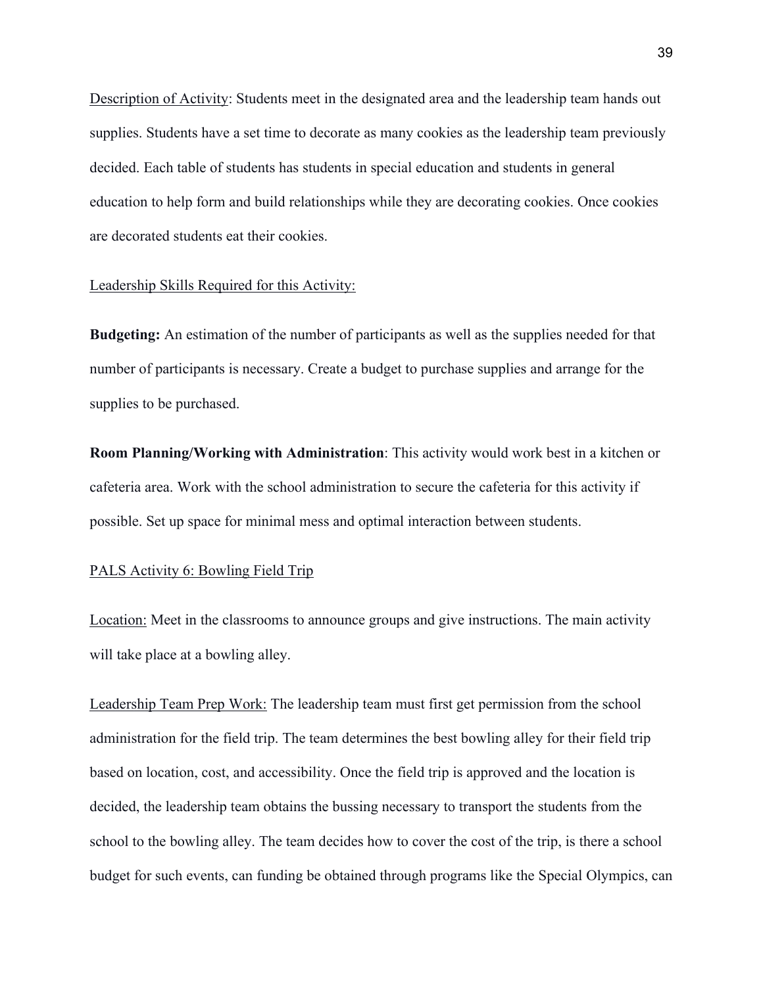Description of Activity: Students meet in the designated area and the leadership team hands out supplies. Students have a set time to decorate as many cookies as the leadership team previously decided. Each table of students has students in special education and students in general education to help form and build relationships while they are decorating cookies. Once cookies are decorated students eat their cookies.

#### Leadership Skills Required for this Activity:

**Budgeting:** An estimation of the number of participants as well as the supplies needed for that number of participants is necessary. Create a budget to purchase supplies and arrange for the supplies to be purchased.

**Room Planning/Working with Administration**: This activity would work best in a kitchen or cafeteria area. Work with the school administration to secure the cafeteria for this activity if possible. Set up space for minimal mess and optimal interaction between students.

### PALS Activity 6: Bowling Field Trip

Location: Meet in the classrooms to announce groups and give instructions. The main activity will take place at a bowling alley.

Leadership Team Prep Work: The leadership team must first get permission from the school administration for the field trip. The team determines the best bowling alley for their field trip based on location, cost, and accessibility. Once the field trip is approved and the location is decided, the leadership team obtains the bussing necessary to transport the students from the school to the bowling alley. The team decides how to cover the cost of the trip, is there a school budget for such events, can funding be obtained through programs like the Special Olympics, can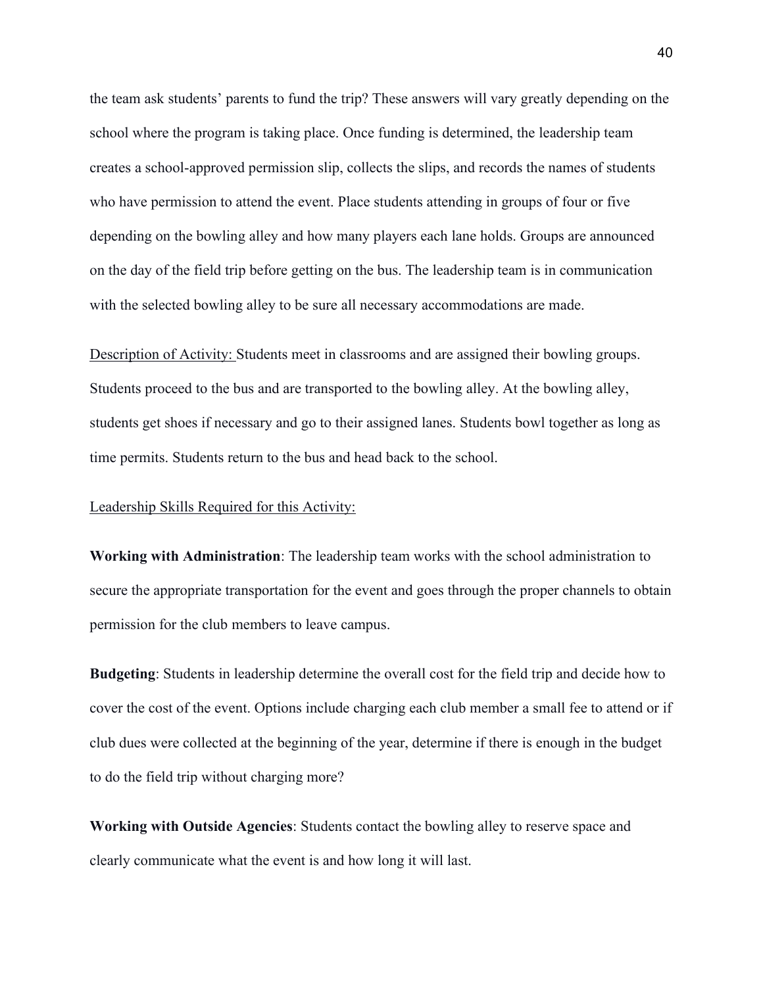the team ask students' parents to fund the trip? These answers will vary greatly depending on the school where the program is taking place. Once funding is determined, the leadership team creates a school-approved permission slip, collects the slips, and records the names of students who have permission to attend the event. Place students attending in groups of four or five depending on the bowling alley and how many players each lane holds. Groups are announced on the day of the field trip before getting on the bus. The leadership team is in communication with the selected bowling alley to be sure all necessary accommodations are made.

Description of Activity: Students meet in classrooms and are assigned their bowling groups. Students proceed to the bus and are transported to the bowling alley. At the bowling alley, students get shoes if necessary and go to their assigned lanes. Students bowl together as long as time permits. Students return to the bus and head back to the school.

### Leadership Skills Required for this Activity:

**Working with Administration**: The leadership team works with the school administration to secure the appropriate transportation for the event and goes through the proper channels to obtain permission for the club members to leave campus.

**Budgeting**: Students in leadership determine the overall cost for the field trip and decide how to cover the cost of the event. Options include charging each club member a small fee to attend or if club dues were collected at the beginning of the year, determine if there is enough in the budget to do the field trip without charging more?

**Working with Outside Agencies**: Students contact the bowling alley to reserve space and clearly communicate what the event is and how long it will last.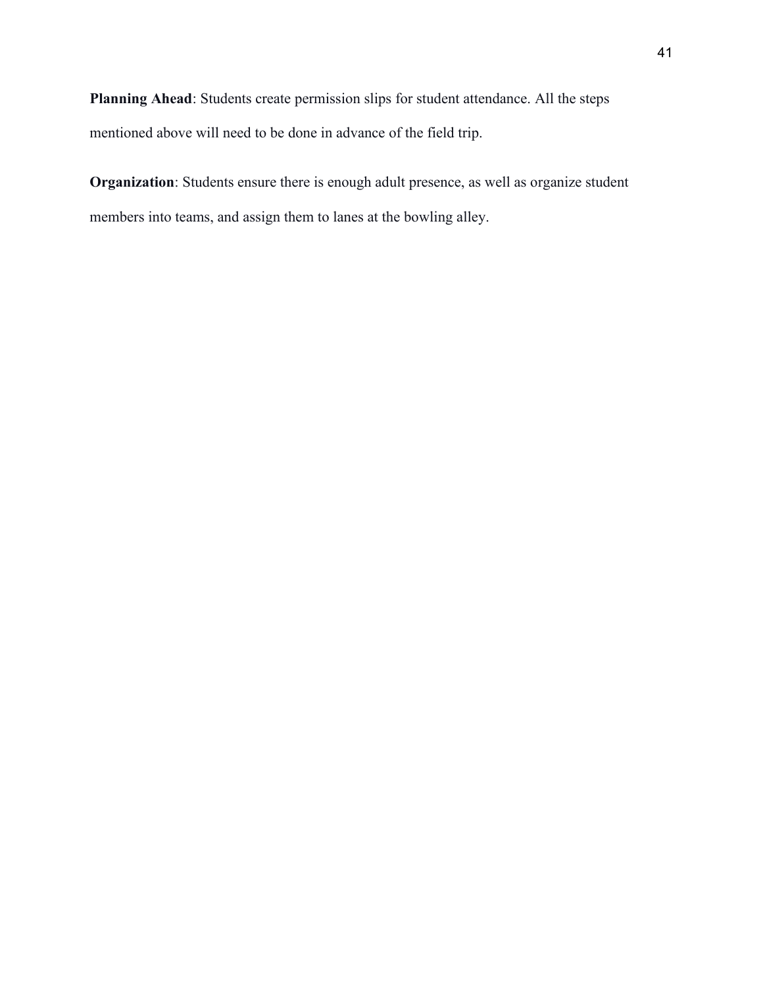**Planning Ahead**: Students create permission slips for student attendance. All the steps mentioned above will need to be done in advance of the field trip.

**Organization**: Students ensure there is enough adult presence, as well as organize student members into teams, and assign them to lanes at the bowling alley.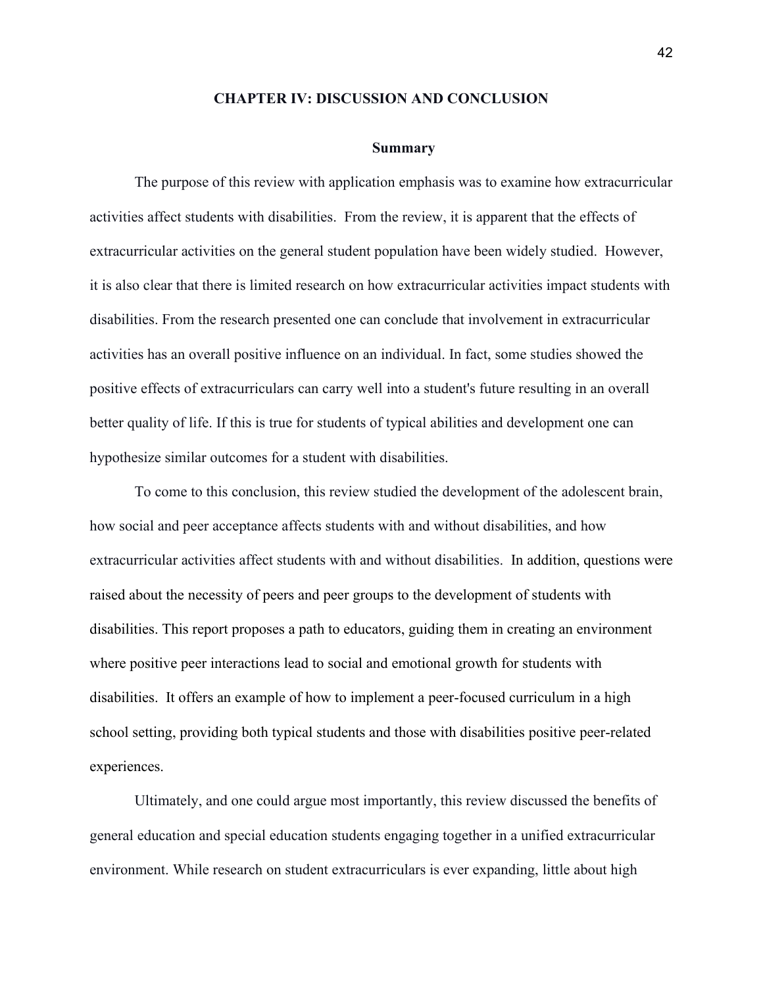#### **CHAPTER IV: DISCUSSION AND CONCLUSION**

#### **Summary**

The purpose of this review with application emphasis was to examine how extracurricular activities affect students with disabilities. From the review, it is apparent that the effects of extracurricular activities on the general student population have been widely studied. However, it is also clear that there is limited research on how extracurricular activities impact students with disabilities. From the research presented one can conclude that involvement in extracurricular activities has an overall positive influence on an individual. In fact, some studies showed the positive effects of extracurriculars can carry well into a student's future resulting in an overall better quality of life. If this is true for students of typical abilities and development one can hypothesize similar outcomes for a student with disabilities.

To come to this conclusion, this review studied the development of the adolescent brain, how social and peer acceptance affects students with and without disabilities, and how extracurricular activities affect students with and without disabilities. In addition, questions were raised about the necessity of peers and peer groups to the development of students with disabilities. This report proposes a path to educators, guiding them in creating an environment where positive peer interactions lead to social and emotional growth for students with disabilities. It offers an example of how to implement a peer-focused curriculum in a high school setting, providing both typical students and those with disabilities positive peer-related experiences.

Ultimately, and one could argue most importantly, this review discussed the benefits of general education and special education students engaging together in a unified extracurricular environment. While research on student extracurriculars is ever expanding, little about high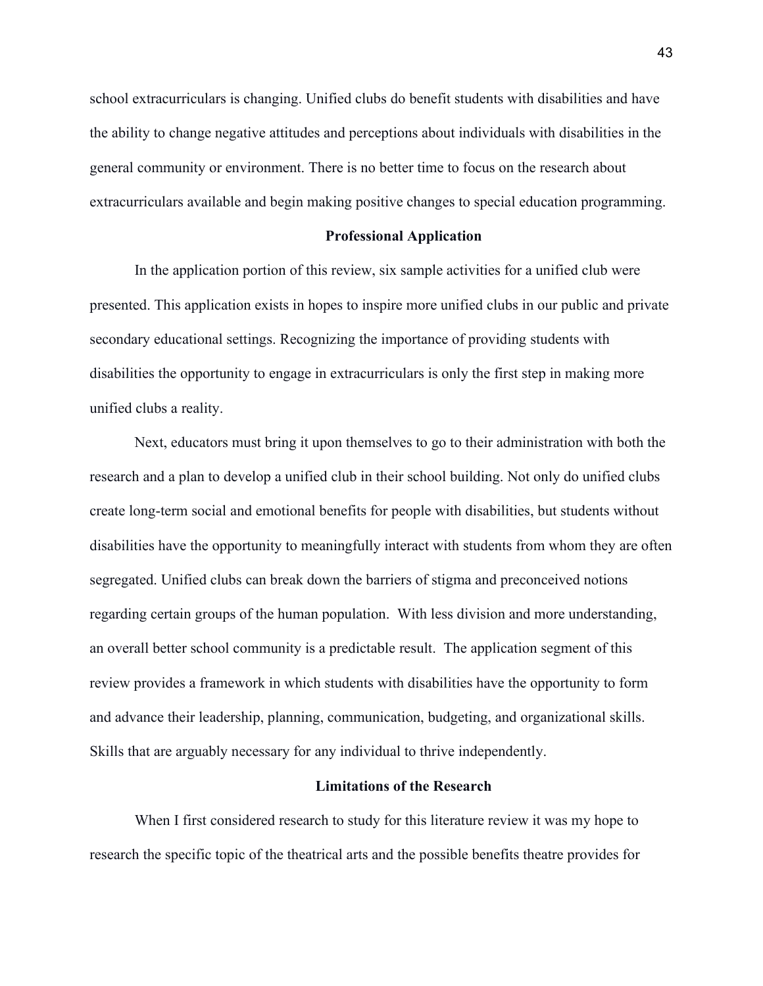school extracurriculars is changing. Unified clubs do benefit students with disabilities and have the ability to change negative attitudes and perceptions about individuals with disabilities in the general community or environment. There is no better time to focus on the research about extracurriculars available and begin making positive changes to special education programming.

#### **Professional Application**

In the application portion of this review, six sample activities for a unified club were presented. This application exists in hopes to inspire more unified clubs in our public and private secondary educational settings. Recognizing the importance of providing students with disabilities the opportunity to engage in extracurriculars is only the first step in making more unified clubs a reality.

Next, educators must bring it upon themselves to go to their administration with both the research and a plan to develop a unified club in their school building. Not only do unified clubs create long-term social and emotional benefits for people with disabilities, but students without disabilities have the opportunity to meaningfully interact with students from whom they are often segregated. Unified clubs can break down the barriers of stigma and preconceived notions regarding certain groups of the human population. With less division and more understanding, an overall better school community is a predictable result. The application segment of this review provides a framework in which students with disabilities have the opportunity to form and advance their leadership, planning, communication, budgeting, and organizational skills. Skills that are arguably necessary for any individual to thrive independently.

#### **Limitations of the Research**

When I first considered research to study for this literature review it was my hope to research the specific topic of the theatrical arts and the possible benefits theatre provides for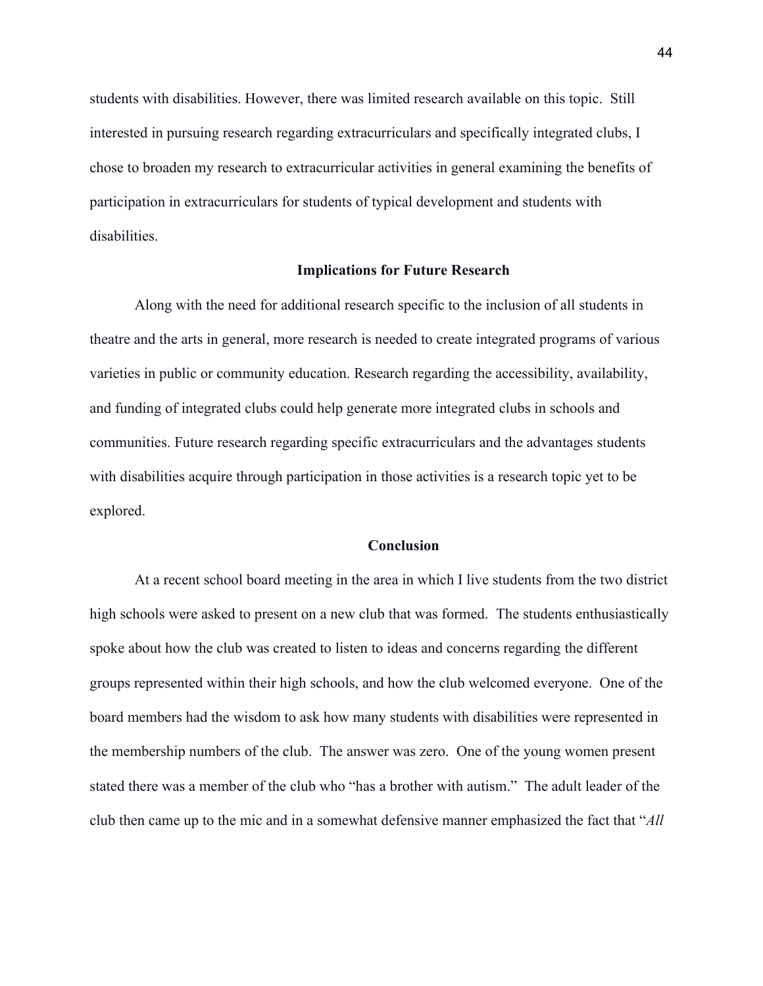students with disabilities. However, there was limited research available on this topic. Still interested in pursuing research regarding extracurriculars and specifically integrated clubs, I chose to broaden my research to extracurricular activities in general examining the benefits of participation in extracurriculars for students of typical development and students with disabilities.

### **Implications for Future Research**

Along with the need for additional research specific to the inclusion of all students in theatre and the arts in general, more research is needed to create integrated programs of various varieties in public or community education. Research regarding the accessibility, availability, and funding of integrated clubs could help generate more integrated clubs in schools and communities. Future research regarding specific extracurriculars and the advantages students with disabilities acquire through participation in those activities is a research topic yet to be explored.

### **Conclusion**

At a recent school board meeting in the area in which I live students from the two district high schools were asked to present on a new club that was formed. The students enthusiastically spoke about how the club was created to listen to ideas and concerns regarding the different groups represented within their high schools, and how the club welcomed everyone. One of the board members had the wisdom to ask how many students with disabilities were represented in the membership numbers of the club. The answer was zero. One of the young women present stated there was a member of the club who "has a brother with autism." The adult leader of the club then came up to the mic and in a somewhat defensive manner emphasized the fact that "*All*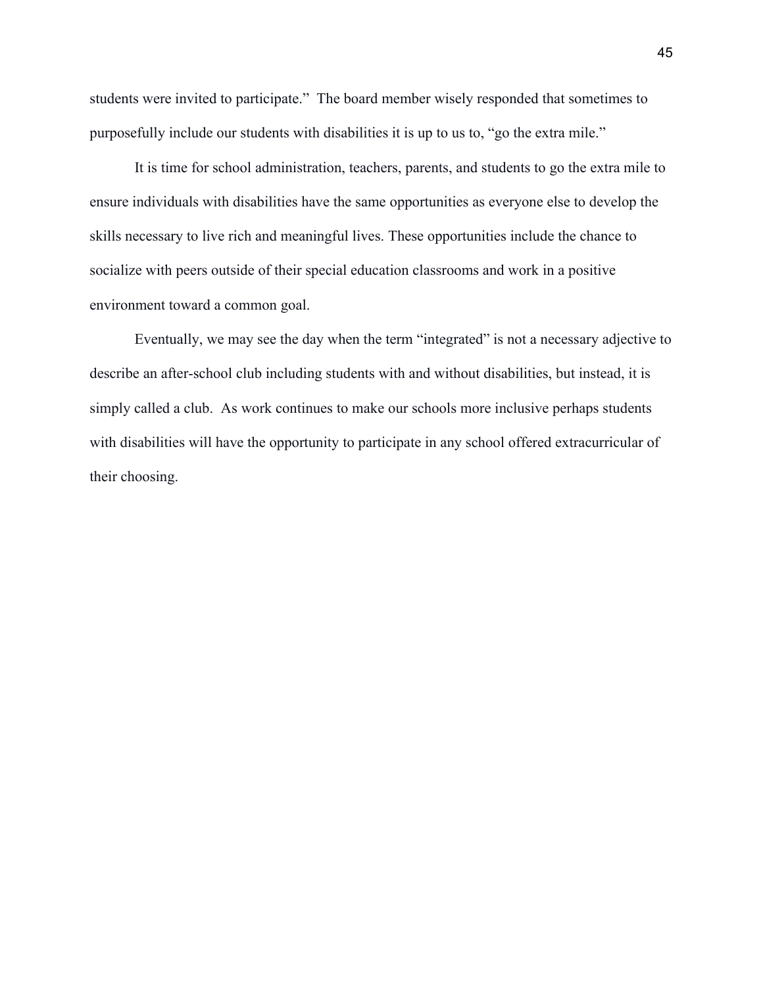students were invited to participate." The board member wisely responded that sometimes to purposefully include our students with disabilities it is up to us to, "go the extra mile."

It is time for school administration, teachers, parents, and students to go the extra mile to ensure individuals with disabilities have the same opportunities as everyone else to develop the skills necessary to live rich and meaningful lives. These opportunities include the chance to socialize with peers outside of their special education classrooms and work in a positive environment toward a common goal.

Eventually, we may see the day when the term "integrated" is not a necessary adjective to describe an after-school club including students with and without disabilities, but instead, it is simply called a club. As work continues to make our schools more inclusive perhaps students with disabilities will have the opportunity to participate in any school offered extracurricular of their choosing.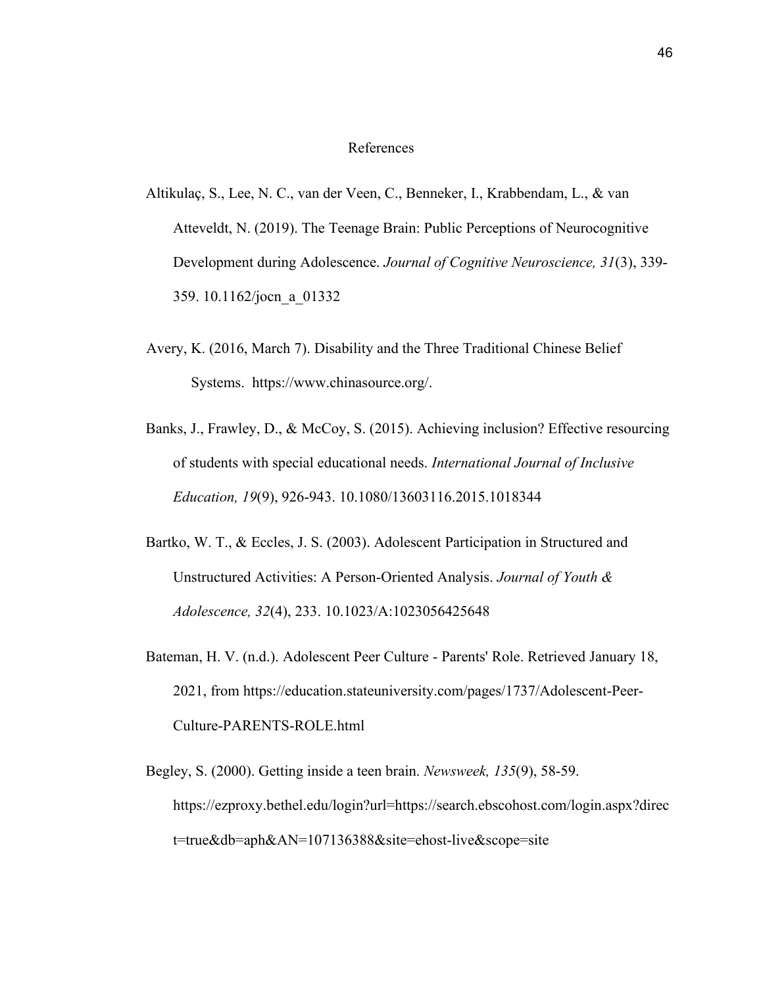### References

- Altikulaç, S., Lee, N. C., van der Veen, C., Benneker, I., Krabbendam, L., & van Atteveldt, N. (2019). The Teenage Brain: Public Perceptions of Neurocognitive Development during Adolescence. *Journal of Cognitive Neuroscience, 31*(3), 339- 359. 10.1162/jocn\_a\_01332
- Avery, K. (2016, March 7). Disability and the Three Traditional Chinese Belief Systems. https://www.chinasource.org/.
- Banks, J., Frawley, D., & McCoy, S. (2015). Achieving inclusion? Effective resourcing of students with special educational needs. *International Journal of Inclusive Education, 19*(9), 926-943. 10.1080/13603116.2015.1018344
- Bartko, W. T., & Eccles, J. S. (2003). Adolescent Participation in Structured and Unstructured Activities: A Person-Oriented Analysis. *Journal of Youth & Adolescence, 32*(4), 233. 10.1023/A:1023056425648
- Bateman, H. V. (n.d.). Adolescent Peer Culture Parents' Role. Retrieved January 18, 2021, from https://education.stateuniversity.com/pages/1737/Adolescent-Peer-Culture-PARENTS-ROLE.html
- Begley, S. (2000). Getting inside a teen brain. *Newsweek, 135*(9), 58-59[.](https://ezproxy.bethel.edu/login?url=https://search.ebscohost.com/login.aspx?direct=true&db=aph&AN=107136388&site=ehost-live&scope=site) [https://ezproxy.bethel.edu/login?url=https://search.ebscohost.com/login.aspx?direc](https://ezproxy.bethel.edu/login?url=https://search.ebscohost.com/login.aspx?direct=true&db=aph&AN=107136388&site=ehost-live&scope=site) [t=true&db=aph&AN=107136388&site=ehost-live&scope=site](https://ezproxy.bethel.edu/login?url=https://search.ebscohost.com/login.aspx?direct=true&db=aph&AN=107136388&site=ehost-live&scope=site)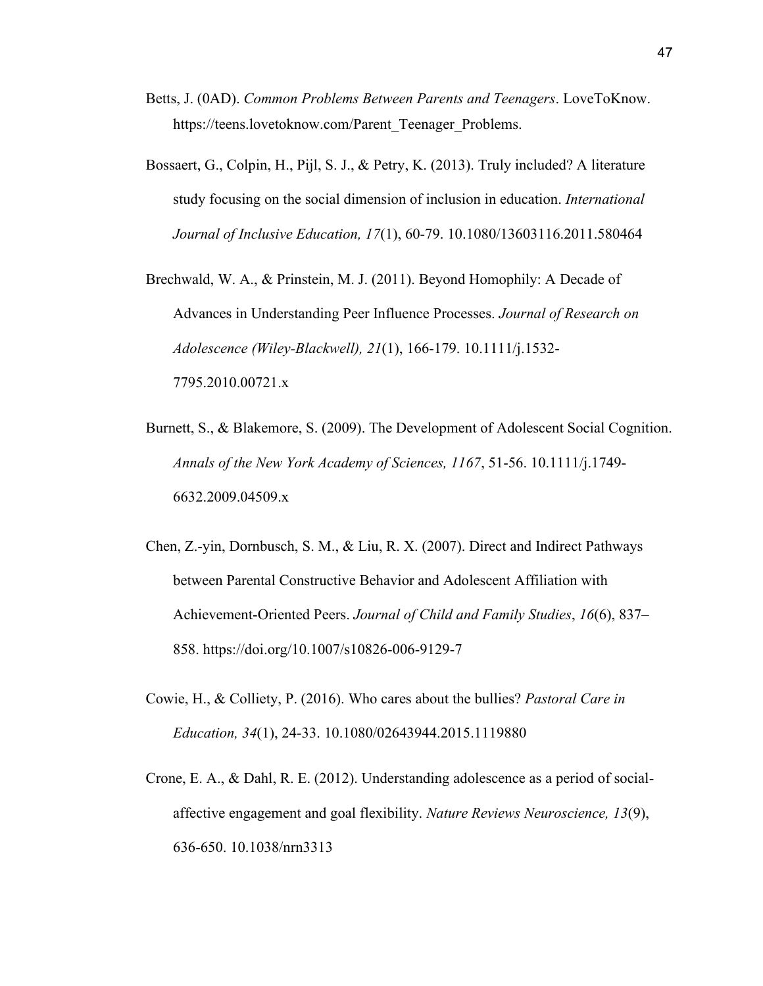- Betts, J. (0AD). *Common Problems Between Parents and Teenagers*. LoveToKnow. https://teens.lovetoknow.com/Parent\_Teenager\_Problems.
- Bossaert, G., Colpin, H., Pijl, S. J., & Petry, K. (2013). Truly included? A literature study focusing on the social dimension of inclusion in education. *International Journal of Inclusive Education, 17*(1), 60-79. 10.1080/13603116.2011.580464
- Brechwald, W. A., & Prinstein, M. J. (2011). Beyond Homophily: A Decade of Advances in Understanding Peer Influence Processes. *Journal of Research on Adolescence (Wiley-Blackwell), 21*(1), 166-179. 10.1111/j.1532- 7795.2010.00721.x
- Burnett, S., & Blakemore, S. (2009). The Development of Adolescent Social Cognition. *Annals of the New York Academy of Sciences, 1167*, 51-56. 10.1111/j.1749- 6632.2009.04509.x
- Chen, Z.-yin, Dornbusch, S. M., & Liu, R. X. (2007). Direct and Indirect Pathways between Parental Constructive Behavior and Adolescent Affiliation with Achievement-Oriented Peers. *Journal of Child and Family Studies*, *16*(6), 837– 858. https://doi.org/10.1007/s10826-006-9129-7
- Cowie, H., & Colliety, P. (2016). Who cares about the bullies? *Pastoral Care in Education, 34*(1), 24-33. 10.1080/02643944.2015.1119880
- Crone, E. A., & Dahl, R. E. (2012). Understanding adolescence as a period of socialaffective engagement and goal flexibility. *Nature Reviews Neuroscience, 13*(9), 636-650. 10.1038/nrn3313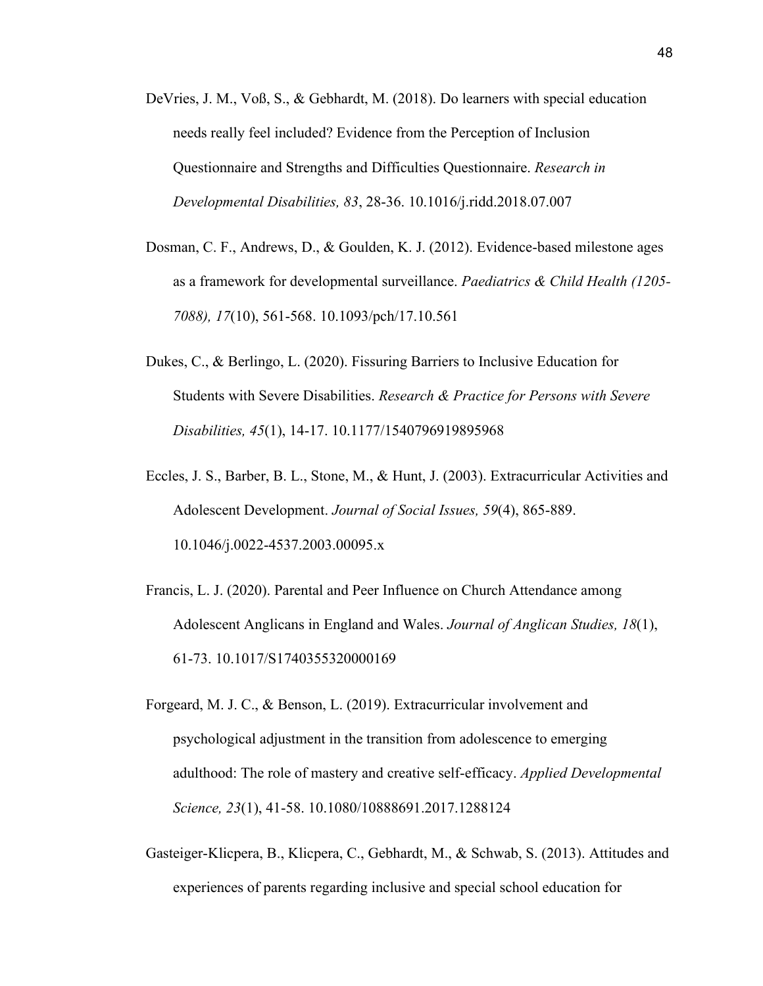- DeVries, J. M., Voß, S., & Gebhardt, M. (2018). Do learners with special education needs really feel included? Evidence from the Perception of Inclusion Questionnaire and Strengths and Difficulties Questionnaire. *Research in Developmental Disabilities, 83*, 28-36. 10.1016/j.ridd.2018.07.007
- Dosman, C. F., Andrews, D., & Goulden, K. J. (2012). Evidence-based milestone ages as a framework for developmental surveillance. *Paediatrics & Child Health (1205- 7088), 17*(10), 561-568. 10.1093/pch/17.10.561
- Dukes, C., & Berlingo, L. (2020). Fissuring Barriers to Inclusive Education for Students with Severe Disabilities. *Research & Practice for Persons with Severe Disabilities, 45*(1), 14-17. 10.1177/1540796919895968
- Eccles, J. S., Barber, B. L., Stone, M., & Hunt, J. (2003). Extracurricular Activities and Adolescent Development. *Journal of Social Issues, 59*(4), 865-889. 10.1046/j.0022-4537.2003.00095.x
- Francis, L. J. (2020). Parental and Peer Influence on Church Attendance among Adolescent Anglicans in England and Wales. *Journal of Anglican Studies, 18*(1), 61-73. 10.1017/S1740355320000169
- Forgeard, M. J. C., & Benson, L. (2019). Extracurricular involvement and psychological adjustment in the transition from adolescence to emerging adulthood: The role of mastery and creative self-efficacy. *Applied Developmental Science, 23*(1), 41-58. 10.1080/10888691.2017.1288124
- Gasteiger-Klicpera, B., Klicpera, C., Gebhardt, M., & Schwab, S. (2013). Attitudes and experiences of parents regarding inclusive and special school education for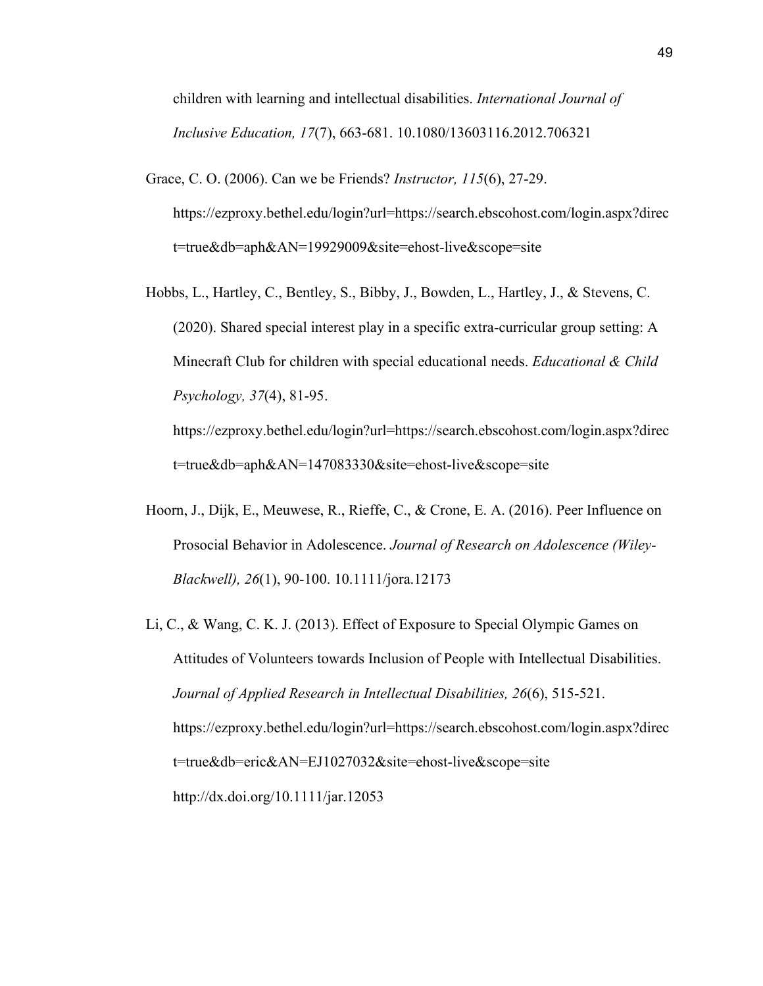children with learning and intellectual disabilities. *International Journal of Inclusive Education, 17*(7), 663-681. 10.1080/13603116.2012.706321

- Grace, C. O. (2006). Can we be Friends? *Instructor, 115*(6), 27-29[.](https://ezproxy.bethel.edu/login?url=https://search.ebscohost.com/login.aspx?direct=true&db=aph&AN=19929009&site=ehost-live&scope=site) [https://ezproxy.bethel.edu/login?url=https://search.ebscohost.com/login.aspx?direc](https://ezproxy.bethel.edu/login?url=https://search.ebscohost.com/login.aspx?direct=true&db=aph&AN=19929009&site=ehost-live&scope=site) [t=true&db=aph&AN=19929009&site=ehost-live&scope=site](https://ezproxy.bethel.edu/login?url=https://search.ebscohost.com/login.aspx?direct=true&db=aph&AN=19929009&site=ehost-live&scope=site)
- Hobbs, L., Hartley, C., Bentley, S., Bibby, J., Bowden, L., Hartley, J., & Stevens, C. (2020). Shared special interest play in a specific extra-curricular group setting: A Minecraft Club for children with special educational needs. *Educational & Child Psychology, 37*(4), 81-95[.](https://ezproxy.bethel.edu/login?url=https://search.ebscohost.com/login.aspx?direct=true&db=aph&AN=147083330&site=ehost-live&scope=site)

[https://ezproxy.bethel.edu/login?url=https://search.ebscohost.com/login.aspx?direc](https://ezproxy.bethel.edu/login?url=https://search.ebscohost.com/login.aspx?direct=true&db=aph&AN=147083330&site=ehost-live&scope=site) [t=true&db=aph&AN=147083330&site=ehost-live&scope=site](https://ezproxy.bethel.edu/login?url=https://search.ebscohost.com/login.aspx?direct=true&db=aph&AN=147083330&site=ehost-live&scope=site)

- Hoorn, J., Dijk, E., Meuwese, R., Rieffe, C., & Crone, E. A. (2016). Peer Influence on Prosocial Behavior in Adolescence. *Journal of Research on Adolescence (Wiley-Blackwell), 26*(1), 90-100. 10.1111/jora.12173
- Li, C., & Wang, C. K. J. (2013). Effect of Exposure to Special Olympic Games on Attitudes of Volunteers towards Inclusion of People with Intellectual Disabilities. *Journal of Applied Research in Intellectual Disabilities, 26*(6), 515-521[.](https://ezproxy.bethel.edu/login?url=https://search.ebscohost.com/login.aspx?direct=true&db=eric&AN=EJ1027032&site=ehost-live&scope=site) [https://ezproxy.bethel.edu/login?url=https://search.ebscohost.com/login.aspx?direc](https://ezproxy.bethel.edu/login?url=https://search.ebscohost.com/login.aspx?direct=true&db=eric&AN=EJ1027032&site=ehost-live&scope=site) [t=true&db=eric&AN=EJ1027032&site=ehost-live&scope=site](https://ezproxy.bethel.edu/login?url=https://search.ebscohost.com/login.aspx?direct=true&db=eric&AN=EJ1027032&site=ehost-live&scope=site) <http://dx.doi.org/10.1111/jar.12053>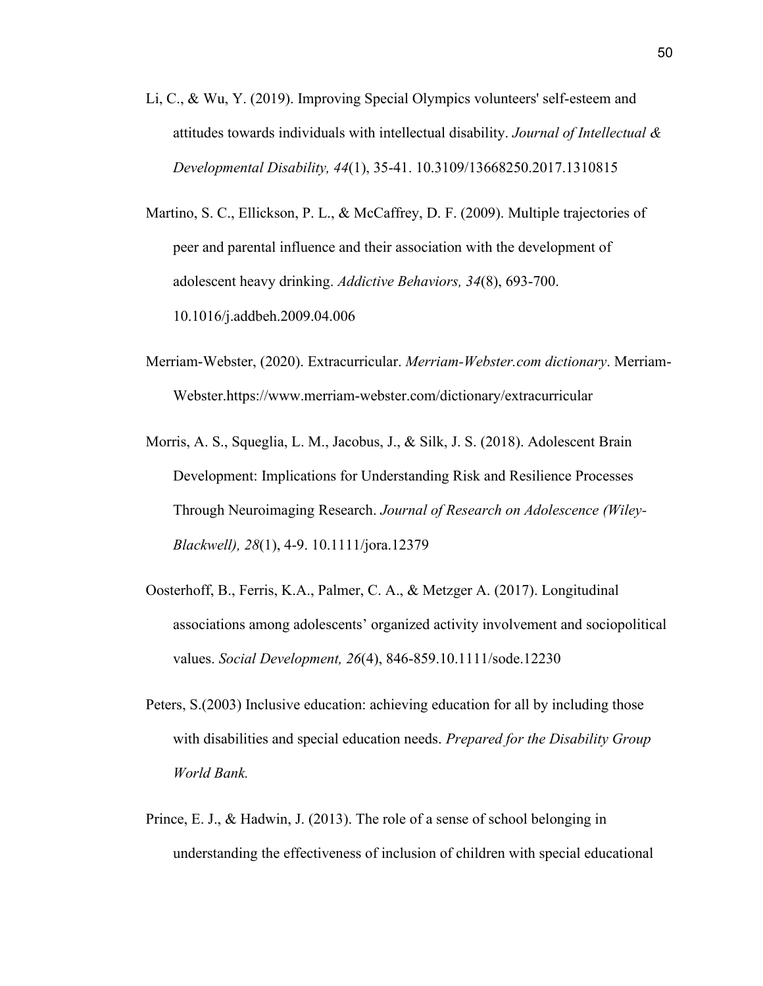- Li, C., & Wu, Y. (2019). Improving Special Olympics volunteers' self-esteem and attitudes towards individuals with intellectual disability. *Journal of Intellectual & Developmental Disability, 44*(1), 35-41. 10.3109/13668250.2017.1310815
- Martino, S. C., Ellickson, P. L., & McCaffrey, D. F. (2009). Multiple trajectories of peer and parental influence and their association with the development of adolescent heavy drinking. *Addictive Behaviors, 34*(8), 693-700. 10.1016/j.addbeh.2009.04.006
- Merriam-Webster, (2020). Extracurricular. *Merriam-Webster.com dictionary*. Merriam-Webster.https://www.merriam-webster.com/dictionary/extracurricular
- Morris, A. S., Squeglia, L. M., Jacobus, J., & Silk, J. S. (2018). Adolescent Brain Development: Implications for Understanding Risk and Resilience Processes Through Neuroimaging Research. *Journal of Research on Adolescence (Wiley-Blackwell), 28*(1), 4-9. 10.1111/jora.12379
- Oosterhoff, B., Ferris, K.A., Palmer, C. A., & Metzger A. (2017). Longitudinal associations among adolescents' organized activity involvement and sociopolitical values. *Social Development, 26*(4), 846-859.10.1111/sode.12230
- Peters, S.(2003) Inclusive education: achieving education for all by including those with disabilities and special education needs. *Prepared for the Disability Group World Bank.*
- Prince, E. J., & Hadwin, J. (2013). The role of a sense of school belonging in understanding the effectiveness of inclusion of children with special educational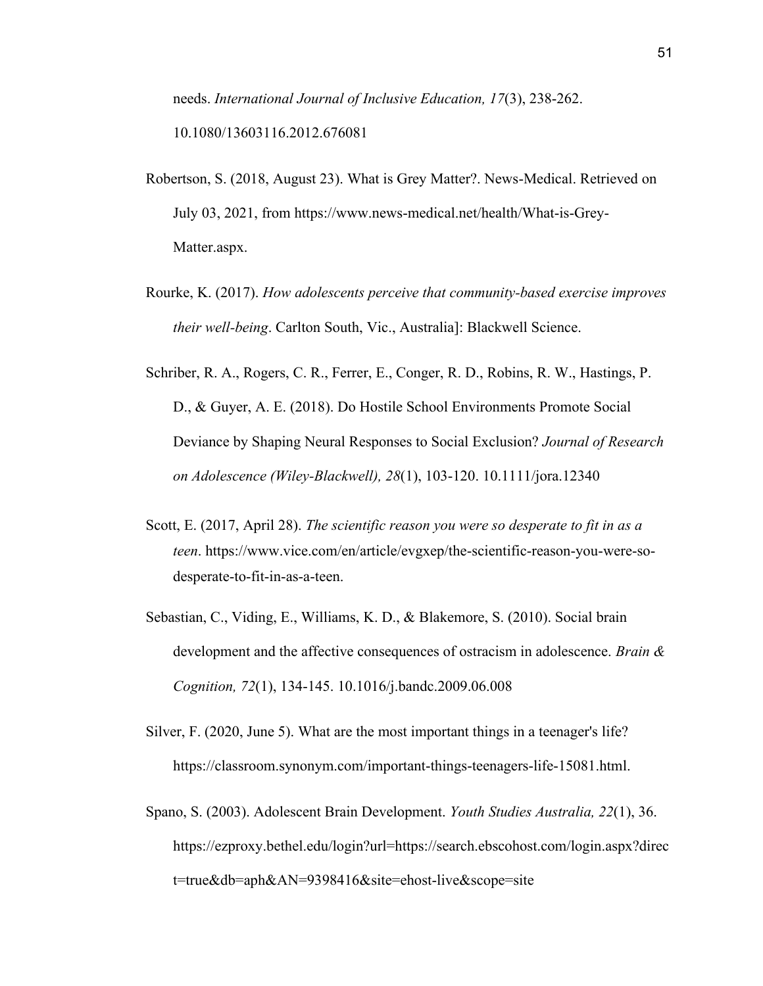needs. *International Journal of Inclusive Education, 17*(3), 238-262. 10.1080/13603116.2012.676081

- Robertson, S. (2018, August 23). What is Grey Matter?. News-Medical. Retrieved on July 03, 2021, from https://www.news-medical.net/health/What-is-Grey-Matter.aspx.
- Rourke, K. (2017). *How adolescents perceive that community-based exercise improves their well-being*. Carlton South, Vic., Australia]: Blackwell Science.
- Schriber, R. A., Rogers, C. R., Ferrer, E., Conger, R. D., Robins, R. W., Hastings, P. D., & Guyer, A. E. (2018). Do Hostile School Environments Promote Social Deviance by Shaping Neural Responses to Social Exclusion? *Journal of Research on Adolescence (Wiley-Blackwell), 28*(1), 103-120. 10.1111/jora.12340
- Scott, E. (2017, April 28). *The scientific reason you were so desperate to fit in as a teen*. https://www.vice.com/en/article/evgxep/the-scientific-reason-you-were-sodesperate-to-fit-in-as-a-teen.
- Sebastian, C., Viding, E., Williams, K. D., & Blakemore, S. (2010). Social brain development and the affective consequences of ostracism in adolescence. *Brain & Cognition, 72*(1), 134-145. 10.1016/j.bandc.2009.06.008
- Silver, F. (2020, June 5). What are the most important things in a teenager's life? https://classroom.synonym.com/important-things-teenagers-life-15081.html.
- Spano, S. (2003). Adolescent Brain Development. *Youth Studies Australia, 22*(1), 36[.](https://ezproxy.bethel.edu/login?url=https://search.ebscohost.com/login.aspx?direct=true&db=aph&AN=9398416&site=ehost-live&scope=site) [https://ezproxy.bethel.edu/login?url=https://search.ebscohost.com/login.aspx?direc](https://ezproxy.bethel.edu/login?url=https://search.ebscohost.com/login.aspx?direct=true&db=aph&AN=9398416&site=ehost-live&scope=site) [t=true&db=aph&AN=9398416&site=ehost-live&scope=site](https://ezproxy.bethel.edu/login?url=https://search.ebscohost.com/login.aspx?direct=true&db=aph&AN=9398416&site=ehost-live&scope=site)